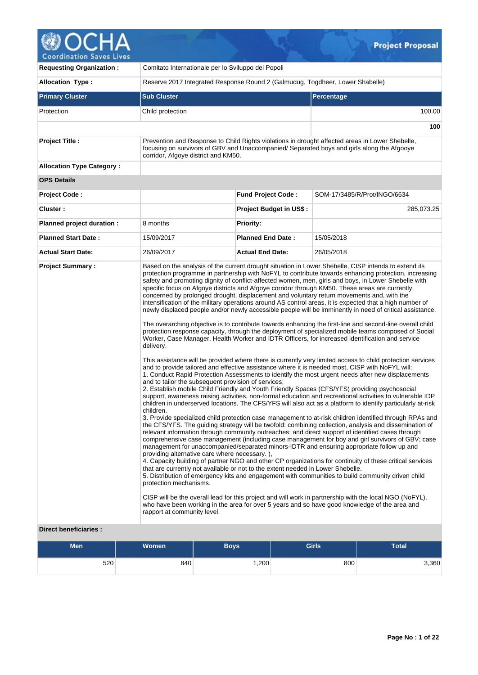| <b>Coordination Saves Lives</b>  |                                                                                                                                                                            |                                                                                 | <b>Project Proposal</b>                                                                                                                                                                                                                                                                                                                                                                                                                                                                                                                                                                                                                                                                                                                                                                                                                                                                                                                                                                                                                                                                                                                                                                                                                                                                                                                                                                                                                                                                                                                                                                                 |
|----------------------------------|----------------------------------------------------------------------------------------------------------------------------------------------------------------------------|---------------------------------------------------------------------------------|---------------------------------------------------------------------------------------------------------------------------------------------------------------------------------------------------------------------------------------------------------------------------------------------------------------------------------------------------------------------------------------------------------------------------------------------------------------------------------------------------------------------------------------------------------------------------------------------------------------------------------------------------------------------------------------------------------------------------------------------------------------------------------------------------------------------------------------------------------------------------------------------------------------------------------------------------------------------------------------------------------------------------------------------------------------------------------------------------------------------------------------------------------------------------------------------------------------------------------------------------------------------------------------------------------------------------------------------------------------------------------------------------------------------------------------------------------------------------------------------------------------------------------------------------------------------------------------------------------|
| <b>Requesting Organization:</b>  | Comitato Internationale per lo Sviluppo dei Popoli                                                                                                                         |                                                                                 |                                                                                                                                                                                                                                                                                                                                                                                                                                                                                                                                                                                                                                                                                                                                                                                                                                                                                                                                                                                                                                                                                                                                                                                                                                                                                                                                                                                                                                                                                                                                                                                                         |
| <b>Allocation Type:</b>          |                                                                                                                                                                            | Reserve 2017 Integrated Response Round 2 (Galmudug, Togdheer, Lower Shabelle)   |                                                                                                                                                                                                                                                                                                                                                                                                                                                                                                                                                                                                                                                                                                                                                                                                                                                                                                                                                                                                                                                                                                                                                                                                                                                                                                                                                                                                                                                                                                                                                                                                         |
| <b>Primary Cluster</b>           | <b>Sub Cluster</b>                                                                                                                                                         |                                                                                 | <b>Percentage</b>                                                                                                                                                                                                                                                                                                                                                                                                                                                                                                                                                                                                                                                                                                                                                                                                                                                                                                                                                                                                                                                                                                                                                                                                                                                                                                                                                                                                                                                                                                                                                                                       |
| Protection                       | Child protection                                                                                                                                                           |                                                                                 | 100.00                                                                                                                                                                                                                                                                                                                                                                                                                                                                                                                                                                                                                                                                                                                                                                                                                                                                                                                                                                                                                                                                                                                                                                                                                                                                                                                                                                                                                                                                                                                                                                                                  |
|                                  |                                                                                                                                                                            |                                                                                 | 100                                                                                                                                                                                                                                                                                                                                                                                                                                                                                                                                                                                                                                                                                                                                                                                                                                                                                                                                                                                                                                                                                                                                                                                                                                                                                                                                                                                                                                                                                                                                                                                                     |
| <b>Project Title:</b>            | corridor, Afgoye district and KM50.                                                                                                                                        |                                                                                 | Prevention and Response to Child Rights violations in drought affected areas in Lower Shebelle,<br>focusing on survivors of GBV and Unaccompanied/ Separated boys and girls along the Afgooye                                                                                                                                                                                                                                                                                                                                                                                                                                                                                                                                                                                                                                                                                                                                                                                                                                                                                                                                                                                                                                                                                                                                                                                                                                                                                                                                                                                                           |
| <b>Allocation Type Category:</b> |                                                                                                                                                                            |                                                                                 |                                                                                                                                                                                                                                                                                                                                                                                                                                                                                                                                                                                                                                                                                                                                                                                                                                                                                                                                                                                                                                                                                                                                                                                                                                                                                                                                                                                                                                                                                                                                                                                                         |
| <b>OPS Details</b>               |                                                                                                                                                                            |                                                                                 |                                                                                                                                                                                                                                                                                                                                                                                                                                                                                                                                                                                                                                                                                                                                                                                                                                                                                                                                                                                                                                                                                                                                                                                                                                                                                                                                                                                                                                                                                                                                                                                                         |
| Project Code:                    |                                                                                                                                                                            | <b>Fund Project Code:</b>                                                       | SOM-17/3485/R/Prot/INGO/6634                                                                                                                                                                                                                                                                                                                                                                                                                                                                                                                                                                                                                                                                                                                                                                                                                                                                                                                                                                                                                                                                                                                                                                                                                                                                                                                                                                                                                                                                                                                                                                            |
| Cluster:                         |                                                                                                                                                                            | <b>Project Budget in US\$:</b>                                                  | 285,073.25                                                                                                                                                                                                                                                                                                                                                                                                                                                                                                                                                                                                                                                                                                                                                                                                                                                                                                                                                                                                                                                                                                                                                                                                                                                                                                                                                                                                                                                                                                                                                                                              |
| Planned project duration :       | 8 months                                                                                                                                                                   | <b>Priority:</b>                                                                |                                                                                                                                                                                                                                                                                                                                                                                                                                                                                                                                                                                                                                                                                                                                                                                                                                                                                                                                                                                                                                                                                                                                                                                                                                                                                                                                                                                                                                                                                                                                                                                                         |
| <b>Planned Start Date:</b>       | 15/09/2017                                                                                                                                                                 | <b>Planned End Date:</b>                                                        | 15/05/2018                                                                                                                                                                                                                                                                                                                                                                                                                                                                                                                                                                                                                                                                                                                                                                                                                                                                                                                                                                                                                                                                                                                                                                                                                                                                                                                                                                                                                                                                                                                                                                                              |
| <b>Actual Start Date:</b>        | 26/09/2017                                                                                                                                                                 | <b>Actual End Date:</b>                                                         | 26/05/2018                                                                                                                                                                                                                                                                                                                                                                                                                                                                                                                                                                                                                                                                                                                                                                                                                                                                                                                                                                                                                                                                                                                                                                                                                                                                                                                                                                                                                                                                                                                                                                                              |
| <b>Project Summary:</b>          | delivery.                                                                                                                                                                  |                                                                                 | Based on the analysis of the current drought situation in Lower Shebelle, CISP intends to extend its<br>protection programme in partnership with NoFYL to contribute towards enhancing protection, increasing<br>safety and promoting dignity of conflict-affected women, men, girls and boys, in Lower Shebelle with<br>specific focus on Afgoye districts and Afgoye corridor through KM50. These areas are currently<br>concerned by prolonged drought, displacement and voluntary return movements and, with the<br>intensification of the military operations around AS control areas, it is expected that a high number of<br>newly displaced people and/or newly accessible people will be imminently in need of critical assistance.<br>The overarching objective is to contribute towards enhancing the first-line and second-line overall child<br>protection response capacity, through the deployment of specialized mobile teams composed of Social<br>Worker, Case Manager, Health Worker and IDTR Officers, for increased identification and service                                                                                                                                                                                                                                                                                                                                                                                                                                                                                                                                     |
|                                  | and to tailor the subsequent provision of services;<br>children.<br>providing alternative care where necessary.),<br>protection mechanisms.<br>rapport at community level. | that are currently not available or not to the extent needed in Lower Shebelle. | This assistance will be provided where there is currently very limited access to child protection services<br>and to provide tailored and effective assistance where it is needed most, CISP with NoFYL will:<br>1. Conduct Rapid Protection Assessments to identify the most urgent needs after new displacements<br>2. Establish mobile Child Friendly and Youth Friendly Spaces (CFS/YFS) providing psychosocial<br>support, awareness raising activities, non-formal education and recreational activities to vulnerable IDP<br>children in underserved locations. The CFS/YFS will also act as a platform to identify particularly at-risk<br>3. Provide specialized child protection case management to at-risk children identified through RPAs and<br>the CFS/YFS. The guiding strategy will be twofold: combining collection, analysis and dissemination of<br>relevant information through community outreaches; and direct support of identified cases through<br>comprehensive case management (including case management for boy and girl survivors of GBV; case<br>management for unaccompanied/separated minors-IDTR and ensuring appropriate follow up and<br>4. Capacity building of partner NGO and other CP organizations for continuity of these critical services<br>5. Distribution of emergency kits and engagement with communities to build community driven child<br>CISP will be the overall lead for this project and will work in partnership with the local NGO (NoFYL),<br>who have been working in the area for over 5 years and so have good knowledge of the area and |

## **Direct beneficiaries :**

| <b>Men</b> | Women <sup>1</sup> | Boys | <b>Girls</b> | <b>Total</b> |
|------------|--------------------|------|--------------|--------------|
| 520        | 840                | ,200 | 800          | 3,360        |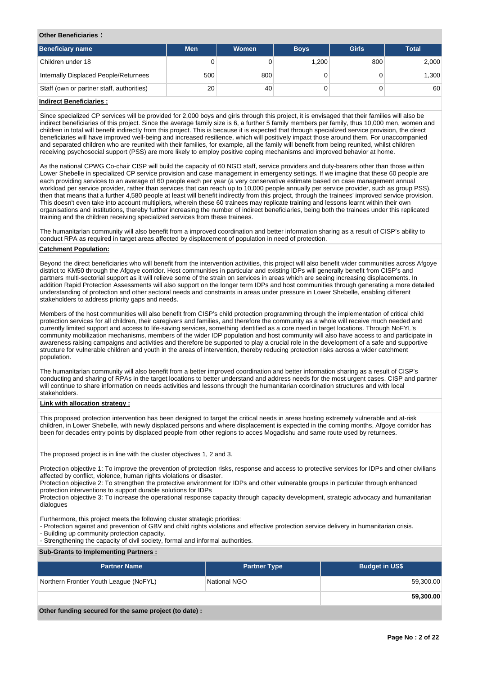#### **Other Beneficiaries :**

| Beneficiary name                          | <b>Men</b> | Women | <b>Boys</b> | <b>Girls</b> | <b>Total</b> |
|-------------------------------------------|------------|-------|-------------|--------------|--------------|
| Children under 18                         | 0          |       | 1.200       | 800          | 2,000        |
| Internally Displaced People/Returnees     | 500        | 800   |             |              | 1,300        |
| Staff (own or partner staff, authorities) | 20         | 40    |             |              | 60           |
| المستوجبا والمستحال فمستلوها المسا        |            |       |             |              |              |

#### **Indirect Beneficiaries :**

Since specialized CP services will be provided for 2,000 boys and girls through this project, it is envisaged that their families will also be indirect beneficiaries of this project. Since the average family size is 6, a further 5 family members per family, thus 10,000 men, women and children in total will benefit indirectly from this project. This is because it is expected that through specialized service provision, the direct beneficiaries will have improved well-being and increased resilience, which will positively impact those around them. For unaccompanied and separated children who are reunited with their families, for example, all the family will benefit from being reunited, whilst children receiving psychosocial support (PSS) are more likely to employ positive coping mechanisms and improved behavior at home.

As the national CPWG Co-chair CISP will build the capacity of 60 NGO staff, service providers and duty-bearers other than those within Lower Shebelle in specialized CP service provision and case management in emergency settings. If we imagine that these 60 people are each providing services to an average of 60 people each per year (a very conservative estimate based on case management annual workload per service provider, rather than services that can reach up to 10,000 people annually per service provider, such as group PSS), then that means that a further 4,580 people at least will benefit indirectly from this project, through the trainees' improved service provision. This doesn't even take into account multipliers, wherein these 60 trainees may replicate training and lessons learnt within their own organisations and institutions, thereby further increasing the number of indirect beneficiaries, being both the trainees under this replicated training and the children receiving specialized services from these trainees.

The humanitarian community will also benefit from a improved coordination and better information sharing as a result of CISP's ability to conduct RPA as required in target areas affected by displacement of population in need of protection.

### **Catchment Population:**

Beyond the direct beneficiaries who will benefit from the intervention activities, this project will also benefit wider communities across Afgoye district to KM50 through the Afgoye corridor. Host communities in particular and existing IDPs will generally benefit from CISP's and partners multi-sectorial support as it will relieve some of the strain on services in areas which are seeing increasing displacements. In addition Rapid Protection Assessments will also support on the longer term IDPs and host communities through generating a more detailed understanding of protection and other sectoral needs and constraints in areas under pressure in Lower Shebelle, enabling different stakeholders to address priority gaps and needs.

Members of the host communities will also benefit from CISP's child protection programming through the implementation of critical child protection services for all children, their caregivers and families, and therefore the community as a whole will receive much needed and currently limited support and access to life-saving services, something identified as a core need in target locations. Through NoFYL's community mobilization mechanisms, members of the wider IDP population and host community will also have access to and participate in awareness raising campaigns and activities and therefore be supported to play a crucial role in the development of a safe and supportive structure for vulnerable children and youth in the areas of intervention, thereby reducing protection risks across a wider catchment population.

The humanitarian community will also benefit from a better improved coordination and better information sharing as a result of CISP's conducting and sharing of RPAs in the target locations to better understand and address needs for the most urgent cases. CISP and partner will continue to share information on needs activities and lessons through the humanitarian coordination structures and with local stakeholders.

## **Link with allocation strategy :**

This proposed protection intervention has been designed to target the critical needs in areas hosting extremely vulnerable and at-risk children, in Lower Shebelle, with newly displaced persons and where displacement is expected in the coming months, Afgoye corridor has been for decades entry points by displaced people from other regions to acces Mogadishu and same route used by returnees.

The proposed project is in line with the cluster objectives 1, 2 and 3.

Protection objective 1: To improve the prevention of protection risks, response and access to protective services for IDPs and other civilians affected by conflict, violence, human rights violations or disaster.

Protection objective 2: To strengthen the protective environment for IDPs and other vulnerable groups in particular through enhanced protection interventions to support durable solutions for IDPs

Protection objective 3: To increase the operational response capacity through capacity development, strategic advocacy and humanitarian dialogues

Furthermore, this project meets the following cluster strategic priorities:

- Protection against and prevention of GBV and child rights violations and effective protection service delivery in humanitarian crisis. - Building up community protection capacity.
- Strengthening the capacity of civil society, formal and informal authorities.

#### **Sub-Grants to Implementing Partners :**

| <b>Partner Name</b>                                   | <b>Partner Type</b> | <b>Budget in US\$</b> |
|-------------------------------------------------------|---------------------|-----------------------|
| Northern Frontier Youth League (NoFYL)                | National NGO        | 59,300.00             |
|                                                       |                     | 59,300.00             |
| Other funding secured for the same project (to date): |                     |                       |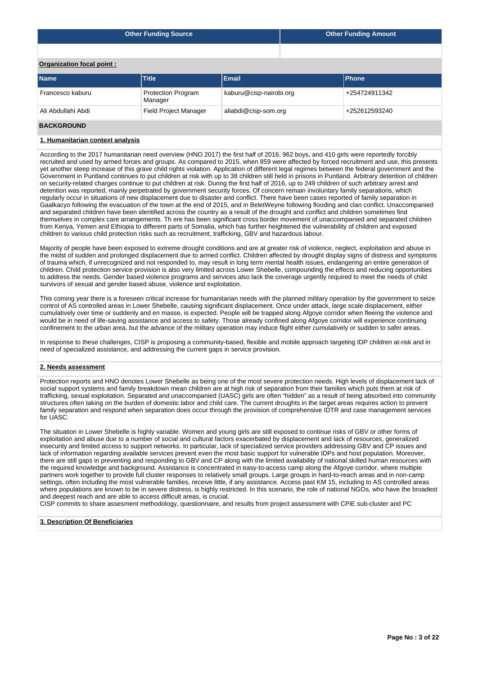|                           | <b>Other Funding Source</b>          | Other Funding Amount    |  |               |  |  |  |  |  |  |
|---------------------------|--------------------------------------|-------------------------|--|---------------|--|--|--|--|--|--|
|                           |                                      |                         |  |               |  |  |  |  |  |  |
| Organization focal point: |                                      |                         |  |               |  |  |  |  |  |  |
| <b>Name</b>               | <b>Title</b>                         | Email                   |  | <b>Phone</b>  |  |  |  |  |  |  |
| Francesco kaburu          | <b>Protection Program</b><br>Manager | kaburu@cisp-nairobi.org |  | +254724911342 |  |  |  |  |  |  |
| Ali Abdullahi Abdi        | <b>Field Project Manager</b>         | aliabdi@cisp-som.org    |  | +252612593240 |  |  |  |  |  |  |
| <b>BACKGROUND</b>         |                                      |                         |  |               |  |  |  |  |  |  |

## **1. Humanitarian context analysis**

According to the 2017 humanitarian need overview (HNO 2017) the first half of 2016, 962 boys, and 410 girls were reportedly forcibly recruited and used by armed forces and groups. As compared to 2015, when 859 were affected by forced recruitment and use, this presents yet another steep increase of this grave child rights violation. Application of different legal regimes between the federal government and the Government in Puntland continues to put children at risk with up to 38 children still held in prisons in Puntland. Arbitrary detention of children on security-related charges continue to put children at risk. During the first half of 2016, up to 249 children of such arbitrary arrest and detention was reported, mainly perpetrated by government security forces. Of concern remain involuntary family separations, which regularly occur in situations of new displacement due to disaster and conflict. There have been cases reported of family separation in Gaalkacyo following the evacuation of the town at the end of 2015, and in BeletWeyne following flooding and clan conflict. Unaccompanied and separated children have been identified across the country as a result of the drought and conflict and children sometimes find themselves in complex care arrangements. Th ere has been significant cross border movement of unaccompanied and separated children from Kenya, Yemen and Ethiopia to different parts of Somalia, which has further heightened the vulnerability of children and exposed children to various child protection risks such as recruitment, trafficking, GBV and hazardous labour.

Majority of people have been exposed to extreme drought conditions and are at greater risk of violence, neglect, exploitation and abuse in the midst of sudden and prolonged displacement due to armed conflict. Children affected by drought display signs of distress and symptoms of trauma which, if unrecognized and not responded to, may result in long term mental health issues, endangering an entire generation of children. Child protection service provision is also very limited across Lower Shebelle, compounding the effects and reducing opportunities to address the needs. Gender based violence programs and services also lack the coverage urgently required to meet the needs of child survivors of sexual and gender based abuse, violence and exploitation.

This coming year there is a foreseen critical increase for humanitarian needs with the planned military operation by the government to seize control of AS controlled areas in Lower Shebelle, causing significant displacement. Once under attack, large scale displacement, either cumulatively over time or suddenly and en masse, is expected. People will be trapped along Afgoye corridor when fleeing the violence and would be in need of life-saving assistance and access to safety. Those already confined along Afgoye corridor will experience continuing confinement to the urban area, but the advance of the military operation may induce flight either cumulatively or sudden to safer areas.

In response to these challenges, CISP is proposing a community-based, flexible and mobile approach targeting IDP children at-risk and in need of specialized assistance, and addressing the current gaps in service provision.

## **2. Needs assessment**

Protection reports and HNO denotes Lower Shebelle as being one of the most severe protection needs. High levels of displacement lack of social support systems and family breakdown mean children are at high risk of separation from their families which puts them at risk of trafficking, sexual exploitation. Separated and unaccompanied (UASC) girls are often "hidden" as a result of being absorbed into community structures often taking on the burden of domestic labor and child care. The current droughts in the target areas requires action to prevent family separation and respond when separation does occur through the provision of comprehensive IDTR and case management services for UASC.

The situation in Lower Shebelle is highly variable. Women and young girls are still exposed to continue risks of GBV or other forms of exploitation and abuse due to a number of social and cultural factors exacerbated by displacement and lack of resources, generalized insecurity and limited access to support networks. In particular, lack of specialized service providers addressing GBV and CP issues and lack of information regarding available services prevent even the most basic support for vulnerable IDPs and host population. Moreover, there are still gaps in preventing and responding to GBV and CP along with the limited availability of national skilled human resources with the required knowledge and background. Assistance is concentrated in easy-to-access camp along the Afgoye corridor, where multiple partners work together to provide full cluster responses to relatively small groups. Large groups in hard-to-reach areas and in non-camp settings, often including the most vulnerable families, receive little, if any assistance. Access past KM 15, including to AS controlled areas where populations are known to be in severe distress, is highly restricted. In this scenario, the role of national NGOs, who have the broadest and deepest reach and are able to access difficult areas, is crucial.

CISP commits to share assesment methodology, questionnaire, and results from project assessment with CPiE sub-cluster and PC

## **3. Description Of Beneficiaries**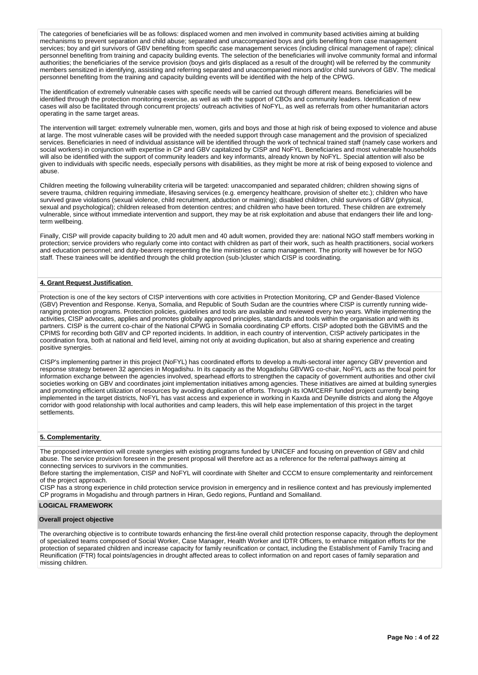The categories of beneficiaries will be as follows: displaced women and men involved in community based activities aiming at building mechanisms to prevent separation and child abuse; separated and unaccompanied boys and girls benefiting from case management services; boy and girl survivors of GBV benefiting from specific case management services (including clinical management of rape); clinical personnel benefiting from training and capacity building events. The selection of the beneficiaries will involve community formal and informal authorities; the beneficiaries of the service provision (boys and girls displaced as a result of the drought) will be referred by the community members sensitized in identifying, assisting and referring separated and unaccompanied minors and/or child survivors of GBV. The medical personnel benefiting from the training and capacity building events will be identified with the help of the CPWG.

The identification of extremely vulnerable cases with specific needs will be carried out through different means. Beneficiaries will be identified through the protection monitoring exercise, as well as with the support of CBOs and community leaders. Identification of new cases will also be facilitated through concurrent projects' outreach activities of NoFYL, as well as referrals from other humanitarian actors operating in the same target areas.

The intervention will target: extremely vulnerable men, women, girls and boys and those at high risk of being exposed to violence and abuse at large. The most vulnerable cases will be provided with the needed support through case management and the provision of specialized services. Beneficiaries in need of individual assistance will be identified through the work of technical trained staff (namely case workers and social workers) in conjunction with expertise in CP and GBV capitalized by CISP and NoFYL. Beneficiaries and most vulnerable households will also be identified with the support of community leaders and key informants, already known by NoFYL. Special attention will also be given to individuals with specific needs, especially persons with disabilities, as they might be more at risk of being exposed to violence and abuse.

Children meeting the following vulnerability criteria will be targeted: unaccompanied and separated children; children showing signs of severe trauma, children requiring immediate, lifesaving services (e.g. emergency healthcare, provision of shelter etc.); children who have survived grave violations (sexual violence, child recruitment, abduction or maiming); disabled children, child survivors of GBV (physical, sexual and psychological); children released from detention centres; and children who have been tortured. These children are extremely vulnerable, since without immediate intervention and support, they may be at risk exploitation and abuse that endangers their life and longterm wellbeing.

Finally, CISP will provide capacity building to 20 adult men and 40 adult women, provided they are: national NGO staff members working in protection; service providers who regularly come into contact with children as part of their work, such as health practitioners, social workers and education personnel; and duty-bearers representing the line ministries or camp management. The priority will however be for NGO staff. These trainees will be identified through the child protection (sub-)cluster which CISP is coordinating.

### **4. Grant Request Justification**

Protection is one of the key sectors of CISP interventions with core activities in Protection Monitoring, CP and Gender-Based Violence (GBV) Prevention and Response. Kenya, Somalia, and Republic of South Sudan are the countries where CISP is currently running wideranging protection programs. Protection policies, guidelines and tools are available and reviewed every two years. While implementing the activities, CISP advocates, applies and promotes globally approved principles, standards and tools within the organisation and with its partners. CISP is the current co-chair of the National CPWG in Somalia coordinating CP efforts. CISP adopted both the GBVIMS and the CPIMS for recording both GBV and CP reported incidents. In addition, in each country of intervention, CISP actively participates in the coordination fora, both at national and field level, aiming not only at avoiding duplication, but also at sharing experience and creating positive synergies.

CISP's implementing partner in this project (NoFYL) has coordinated efforts to develop a multi-sectoral inter agency GBV prevention and response strategy between 32 agencies in Mogadishu. In its capacity as the Mogadishu GBVWG co-chair, NoFYL acts as the focal point for information exchange between the agencies involved, spearhead efforts to strengthen the capacity of government authorities and other civil societies working on GBV and coordinates joint implementation initiatives among agencies. These initiatives are aimed at building synergies and promoting efficient utilization of resources by avoiding duplication of efforts. Through its IOM/CERF funded project currently being implemented in the target districts, NoFYL has vast access and experience in working in Kaxda and Deynille districts and along the Afgoye corridor with good relationship with local authorities and camp leaders, this will help ease implementation of this project in the target settlements.

## **5. Complementarity**

The proposed intervention will create synergies with existing programs funded by UNICEF and focusing on prevention of GBV and child abuse. The service provision foreseen in the present proposal will therefore act as a reference for the referral pathways aiming at connecting services to survivors in the communities.

Before starting the implementation, CISP and NoFYL will coordinate with Shelter and CCCM to ensure complementarity and reinforcement of the project approach.

CISP has a strong experience in child protection service provision in emergency and in resilience context and has previously implemented CP programs in Mogadishu and through partners in Hiran, Gedo regions, Puntland and Somaliland.

#### **LOGICAL FRAMEWORK**

#### **Overall project objective**

The overarching objective is to contribute towards enhancing the first-line overall child protection response capacity, through the deployment of specialized teams composed of Social Worker, Case Manager, Health Worker and IDTR Officers, to enhance mitigation efforts for the protection of separated children and increase capacity for family reunification or contact, including the Establishment of Family Tracing and Reunification (FTR) focal points/agencies in drought affected areas to collect information on and report cases of family separation and missing children.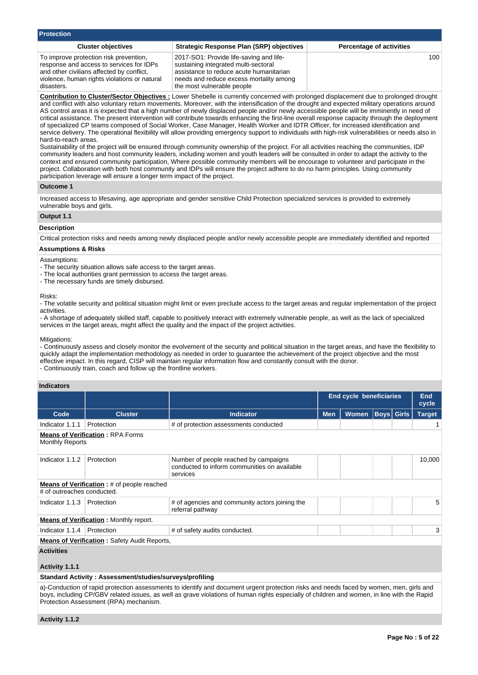| <b>Protection</b>                                                                                                                                                                             |                                                                                                                                                                                                     |                                 |
|-----------------------------------------------------------------------------------------------------------------------------------------------------------------------------------------------|-----------------------------------------------------------------------------------------------------------------------------------------------------------------------------------------------------|---------------------------------|
| <b>Cluster objectives</b>                                                                                                                                                                     | <b>Strategic Response Plan (SRP) objectives</b>                                                                                                                                                     | <b>Percentage of activities</b> |
| To improve protection risk prevention,<br>response and access to services for IDPs<br>and other civilians affected by conflict,<br>violence, human rights violations or natural<br>disasters. | 2017-SO1: Provide life-saving and life-<br>sustaining integrated multi-sectoral<br>assistance to reduce acute humanitarian<br>needs and reduce excess mortality among<br>the most vulnerable people | 100 <sup>1</sup>                |

**Contribution to Cluster/Sector Objectives :** Lower Shebelle is currently concerned with prolonged displacement due to prolonged drought and conflict with also voluntary return movements. Moreover, with the intensification of the drought and expected military operations around AS control areas it is expected that a high number of newly displaced people and/or newly accessible people will be imminently in need of critical assistance. The present intervention will contribute towards enhancing the first-line overall response capacity through the deployment of specialized CP teams composed of Social Worker, Case Manager, Health Worker and IDTR Officer, for increased identification and service delivery. The operational flexibility will allow providing emergency support to individuals with high-risk vulnerabilities or needs also in hard-to-reach areas.

Sustainability of the project will be ensured through community ownership of the project. For all activities reaching the communities, IDP community leaders and host community leaders, including women and youth leaders will be consulted in order to adapt the activity to the context and ensured community participation, Where possible community members will be encourage to volunteer and participate in the project. Collaboration with both host community and IDPs will ensure the project adhere to do no harm principles. Using community participation leverage will ensure a longer term impact of the project.

#### **Outcome 1**

Increased access to lifesaving, age appropriate and gender sensitive Child Protection specialized services is provided to extremely vulnerable boys and girls.

#### **Output 1.1**

#### **Description**

Critical protection risks and needs among newly displaced people and/or newly accessible people are immediately identified and reported

## **Assumptions & Risks**

#### Assumptions:

- The security situation allows safe access to the target areas.
- The local authorities grant permission to access the target areas.
- The necessary funds are timely disbursed.

#### Risks:

- The volatile security and political situation might limit or even preclude access to the target areas and regular implementation of the project activities.

- A shortage of adequately skilled staff, capable to positively interact with extremely vulnerable people, as well as the lack of specialized services in the target areas, might affect the quality and the impact of the project activities.

#### Mitigations:

- Continuously assess and closely monitor the evolvement of the security and political situation in the target areas, and have the flexibility to quickly adapt the implementation methodology as needed in order to guarantee the achievement of the project objective and the most effective impact. In this regard, CISP will maintain regular information flow and constantly consult with the donor. - Continuously train, coach and follow up the frontline workers.

### **Indicators**

|                            |                                                     |                                                                                                   | <b>End cycle beneficiaries</b> | End<br>cycle |                   |               |
|----------------------------|-----------------------------------------------------|---------------------------------------------------------------------------------------------------|--------------------------------|--------------|-------------------|---------------|
| Code                       | <b>Cluster</b>                                      | <b>Indicator</b>                                                                                  | <b>Men</b>                     | <b>Women</b> | <b>Boys</b> Girls | <b>Target</b> |
| Indicator 1.1.1            | Protection                                          | # of protection assessments conducted                                                             |                                |              |                   |               |
| <b>Monthly Reports</b>     | <b>Means of Verification: RPA Forms</b>             |                                                                                                   |                                |              |                   |               |
| Indicator 1.1.2            | Protection                                          | Number of people reached by campaigns<br>conducted to inform communities on available<br>services |                                |              |                   | 10,000        |
| # of outreaches conducted. | <b>Means of Verification:</b> # of people reached   |                                                                                                   |                                |              |                   |               |
| Indicator 1.1.3            | Protection                                          | # of agencies and community actors joining the<br>referral pathway                                |                                |              |                   | 5             |
|                            | <b>Means of Verification: Monthly report.</b>       |                                                                                                   |                                |              |                   |               |
| Indicator 1.1.4            | Protection                                          | # of safety audits conducted.                                                                     |                                |              |                   | 3             |
|                            | <b>Means of Verification:</b> Safety Audit Reports, |                                                                                                   |                                |              |                   |               |
| <b>Activities</b>          |                                                     |                                                                                                   |                                |              |                   |               |

## **Activity 1.1.1**

### **Standard Activity : Assessment/studies/surveys/profiling**

a)-Conduction of rapid protection assessments to identify and document urgent protection risks and needs faced by women, men, girls and boys, including CP/GBV related issues, as well as grave violations of human rights especially of children and women, in line with the Rapid Protection Assessment (RPA) mechanism.

**Activity 1.1.2**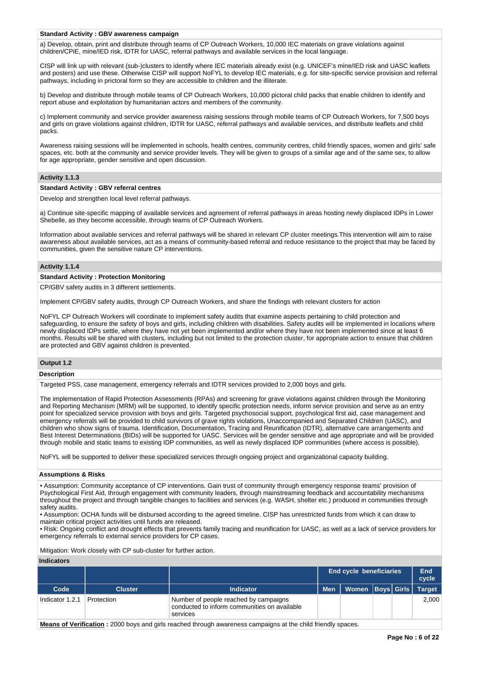### **Standard Activity : GBV awareness campaign**

a) Develop, obtain, print and distribute through teams of CP Outreach Workers, 10,000 IEC materials on grave violations against children/CPiE, mine/IED risk, IDTR for UASC, referral pathways and available services in the local language.

CISP will link up with relevant (sub-)clusters to identify where IEC materials already exist (e.g. UNICEF's mine/IED risk and UASC leaflets and posters) and use these. Otherwise CISP will support NoFYL to develop IEC materials, e.g. for site-specific service provision and referral pathways, including in prictoral form so they are accessible to children and the illiterate.

b) Develop and distribute through mobile teams of CP Outreach Workers, 10,000 pictoral child packs that enable children to identify and report abuse and exploitation by humanitarian actors and members of the community.

c) Implement community and service provider awareness raising sessions through mobile teams of CP Outreach Workers, for 7,500 boys and girls on grave violations against children, IDTR for UASC, referral pathways and available services, and distribute leaflets and child packs.

Awareness raising sessions will be implemented in schools, health centres, community centres, child friendly spaces, women and girls' safe spaces, etc. both at the community and service provider levels. They will be given to groups of a similar age and of the same sex, to allow for age appropriate, gender sensitive and open discussion.

### **Activity 1.1.3**

#### **Standard Activity : GBV referral centres**

Develop and strengthen local level referral pathways.

a) Continue site-specific mapping of available services and agreement of referral pathways in areas hosting newly displaced IDPs in Lower Shebelle, as they become accessible, through teams of CP Outreach Workers.

Information about available services and referral pathways will be shared in relevant CP cluster meetings.This intervention will aim to raise awareness about available services, act as a means of community-based referral and reduce resistance to the project that may be faced by communities, given the sensitive nature CP interventions.

#### **Activity 1.1.4**

### **Standard Activity : Protection Monitoring**

CP/GBV safety audits in 3 different settlements.

Implement CP/GBV safety audits, through CP Outreach Workers, and share the findings with relevant clusters for action

NoFYL CP Outreach Workers will coordinate to implement safety audits that examine aspects pertaining to child protection and safeguarding, to ensure the safety of boys and girls, including children with disabilities. Safety audits will be implemented in locations where newly displaced IDPs settle, where they have not yet been implemented and/or where they have not been implemented since at least 6 months. Results will be shared with clusters, including but not limited to the protection cluster, for appropriate action to ensure that children are protected and GBV against children is prevented.

### **Output 1.2**

## **Description**

Targeted PSS, case management, emergency referrals and IDTR services provided to 2,000 boys and girls.

The implementation of Rapid Protection Assessments (RPAs) and screening for grave violations against children through the Monitoring and Reporting Mechanism (MRM) will be supported, to identify specific protection needs, inform service provision and serve as an entry point for specialized service provision with boys and girls. Targeted psychosocial support, psychological first aid, case management and emergency referrals will be provided to child survivors of grave rights violations, Unaccompanied and Separated Children (UASC), and children who show signs of trauma. Identification, Documentation, Tracing and Reunification (IDTR), alternative care arrangements and Best Interest Determinations (BIDs) will be supported for UASC. Services will be gender sensitive and age appropriate and will be provided through mobile and static teams to existing IDP communities, as well as newly displaced IDP communities (where access is possible).

NoFYL will be supported to deliver these specialized services through ongoing project and organizational capacity building.

#### **Assumptions & Risks**

• Assumption: Community acceptance of CP interventions. Gain trust of community through emergency response teams' provision of Psychological First Aid, through engagement with community leaders, through mainstreaming feedback and accountability mechanisms throughout the project and through tangible changes to facilities and services (e.g. WASH, shelter etc.) produced in communities through safety audits.

• Assumption: OCHA funds will be disbursed according to the agreed timeline. CISP has unrestricted funds from which it can draw to maintain critical project activities until funds are released.

• Risk: Ongoing conflict and drought effects that prevents family tracing and reunification for UASC, as well as a lack of service providers for emergency referrals to external service providers for CP cases.

Mitigation: Work closely with CP sub-cluster for further action.

### **Indicators**

|                 |                |                                                                                                   | <b>End cycle beneficiaries</b> | End<br>cycle         |  |               |
|-----------------|----------------|---------------------------------------------------------------------------------------------------|--------------------------------|----------------------|--|---------------|
| Code            | <b>Cluster</b> | <b>Indicator</b>                                                                                  | <b>Men</b>                     | Women   Boys   Girls |  | <b>Target</b> |
| Indicator 1.2.1 | Protection     | Number of people reached by campaigns<br>conducted to inform communities on available<br>services |                                |                      |  | 2.000         |

**Means of Verification :** 2000 boys and girls reached through awareness campaigns at the child friendly spaces.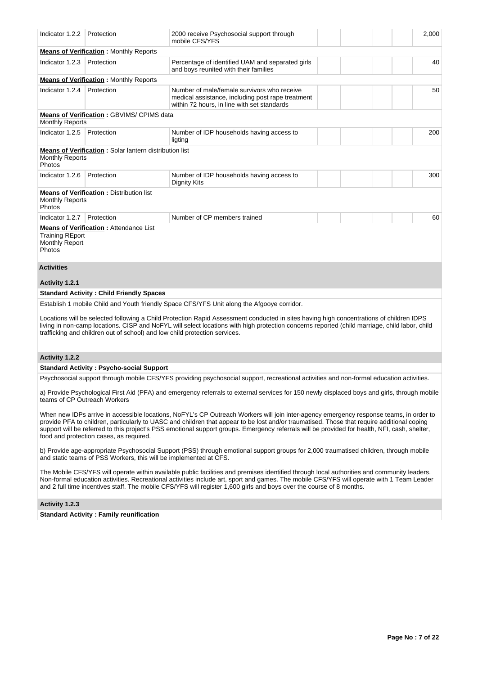| Indicator 1.2.2                                           | Protection                                                                 | 2000 receive Psychosocial support through<br>mobile CFS/YFS                                                                                                                                                                                                                              | 2,000 |
|-----------------------------------------------------------|----------------------------------------------------------------------------|------------------------------------------------------------------------------------------------------------------------------------------------------------------------------------------------------------------------------------------------------------------------------------------|-------|
|                                                           | <b>Means of Verification: Monthly Reports</b>                              |                                                                                                                                                                                                                                                                                          |       |
| Indicator 1.2.3                                           | Protection                                                                 | Percentage of identified UAM and separated girls<br>and boys reunited with their families                                                                                                                                                                                                | 40    |
|                                                           | <b>Means of Verification:</b> Monthly Reports                              |                                                                                                                                                                                                                                                                                          |       |
| Indicator 1.2.4                                           | Protection                                                                 | Number of male/female survivors who receive<br>medical assistance, including post rape treatment<br>within 72 hours, in line with set standards                                                                                                                                          | 50    |
| <b>Monthly Reports</b>                                    | <b>Means of Verification: GBVIMS/ CPIMS data</b>                           |                                                                                                                                                                                                                                                                                          |       |
| Indicator 1.2.5                                           | Protection                                                                 | Number of IDP households having access to<br>ligting                                                                                                                                                                                                                                     | 200   |
| <b>Monthly Reports</b><br>Photos                          | Means of Verification: Solar lantern distribution list                     |                                                                                                                                                                                                                                                                                          |       |
| Indicator 1.2.6                                           | Protection                                                                 | Number of IDP households having access to<br><b>Dignity Kits</b>                                                                                                                                                                                                                         | 300   |
| <b>Monthly Reports</b><br>Photos                          | <b>Means of Verification:</b> Distribution list                            |                                                                                                                                                                                                                                                                                          |       |
| Indicator 1.2.7                                           | Protection                                                                 | Number of CP members trained                                                                                                                                                                                                                                                             | 60    |
| <b>Training REport</b><br><b>Monthly Report</b><br>Photos | <b>Means of Verification: Attendance List</b>                              |                                                                                                                                                                                                                                                                                          |       |
| <b>Activities</b>                                         |                                                                            |                                                                                                                                                                                                                                                                                          |       |
| Activity 1.2.1                                            |                                                                            |                                                                                                                                                                                                                                                                                          |       |
|                                                           | <b>Standard Activity: Child Friendly Spaces</b>                            |                                                                                                                                                                                                                                                                                          |       |
|                                                           |                                                                            | Establish 1 mobile Child and Youth friendly Space CFS/YFS Unit along the Afgooye corridor.                                                                                                                                                                                               |       |
|                                                           | trafficking and children out of school) and low child protection services. | Locations will be selected following a Child Protection Rapid Assessment conducted in sites having high concentrations of children IDPS<br>living in non-camp locations. CISP and NoFYL will select locations with high protection concerns reported (child marriage, child labor, child |       |

## **Activity 1.2.2**

### **Standard Activity : Psycho-social Support**

Psychosocial support through mobile CFS/YFS providing psychosocial support, recreational activities and non-formal education activities.

a) Provide Psychological First Aid (PFA) and emergency referrals to external services for 150 newly displaced boys and girls, through mobile teams of CP Outreach Workers

When new IDPs arrive in accessible locations, NoFYL's CP Outreach Workers will join inter-agency emergency response teams, in order to provide PFA to children, particularly to UASC and children that appear to be lost and/or traumatised. Those that require additional coping support will be referred to this project's PSS emotional support groups. Emergency referrals will be provided for health, NFI, cash, shelter, food and protection cases, as required.

b) Provide age-appropriate Psychosocial Support (PSS) through emotional support groups for 2,000 traumatised children, through mobile and static teams of PSS Workers, this will be implemented at CFS.

The Mobile CFS/YFS will operate within available public facilities and premises identified through local authorities and community leaders. Non-formal education activities. Recreational activities include art, sport and games. The mobile CFS/YFS will operate with 1 Team Leader and 2 full time incentives staff. The mobile CFS/YFS will register 1,600 girls and boys over the course of 8 months.

# **Activity 1.2.3**

**Standard Activity : Family reunification**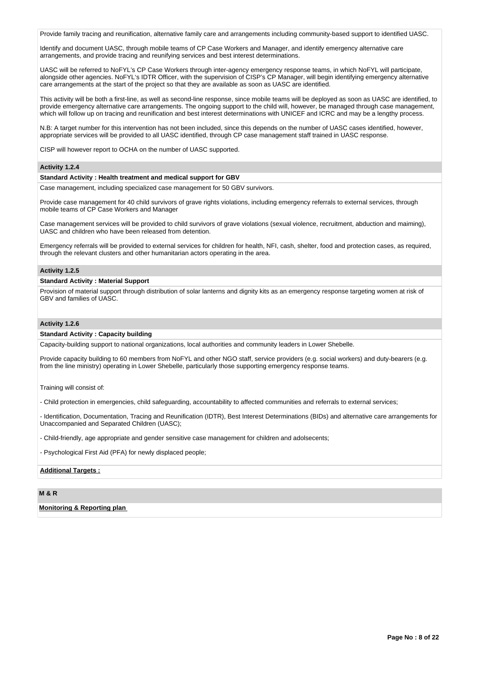Provide family tracing and reunification, alternative family care and arrangements including community-based support to identified UASC.

Identify and document UASC, through mobile teams of CP Case Workers and Manager, and identify emergency alternative care arrangements, and provide tracing and reunifying services and best interest determinations.

UASC will be referred to NoFYL's CP Case Workers through inter-agency emergency response teams, in which NoFYL will participate, alongside other agencies. NoFYL's IDTR Officer, with the supervision of CISP's CP Manager, will begin identifying emergency alternative care arrangements at the start of the project so that they are available as soon as UASC are identified.

This activity will be both a first-line, as well as second-line response, since mobile teams will be deployed as soon as UASC are identified, to provide emergency alternative care arrangements. The ongoing support to the child will, however, be managed through case management, which will follow up on tracing and reunification and best interest determinations with UNICEF and ICRC and may be a lengthy process.

N.B: A target number for this intervention has not been included, since this depends on the number of UASC cases identified, however, appropriate services will be provided to all UASC identified, through CP case management staff trained in UASC response.

CISP will however report to OCHA on the number of UASC supported.

## **Activity 1.2.4**

#### **Standard Activity : Health treatment and medical support for GBV**

Case management, including specialized case management for 50 GBV survivors.

Provide case management for 40 child survivors of grave rights violations, including emergency referrals to external services, through mobile teams of CP Case Workers and Manager

Case management services will be provided to child survivors of grave violations (sexual violence, recruitment, abduction and maiming), UASC and children who have been released from detention.

Emergency referrals will be provided to external services for children for health, NFI, cash, shelter, food and protection cases, as required, through the relevant clusters and other humanitarian actors operating in the area.

#### **Activity 1.2.5**

### **Standard Activity : Material Support**

Provision of material support through distribution of solar lanterns and dignity kits as an emergency response targeting women at risk of GBV and families of UASC.

## **Activity 1.2.6**

### **Standard Activity : Capacity building**

Capacity-building support to national organizations, local authorities and community leaders in Lower Shebelle.

Provide capacity building to 60 members from NoFYL and other NGO staff, service providers (e.g. social workers) and duty-bearers (e.g. from the line ministry) operating in Lower Shebelle, particularly those supporting emergency response teams.

Training will consist of:

- Child protection in emergencies, child safeguarding, accountability to affected communities and referrals to external services;

- Identification, Documentation, Tracing and Reunification (IDTR), Best Interest Determinations (BIDs) and alternative care arrangements for Unaccompanied and Separated Children (UASC);

- Child-friendly, age appropriate and gender sensitive case management for children and adolsecents;

- Psychological First Aid (PFA) for newly displaced people;

## **Additional Targets :**

## **M & R**

**Monitoring & Reporting plan**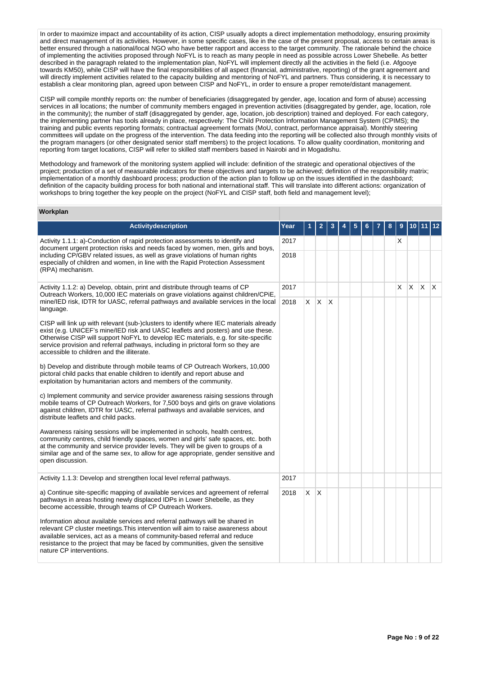In order to maximize impact and accountability of its action, CISP usually adopts a direct implementation methodology, ensuring proximity and direct management of its activities. However, in some specific cases, like in the case of the present proposal, access to certain areas is better ensured through a national/local NGO who have better rapport and access to the target community. The rationale behind the choice of implementing the activities proposed through NoFYL is to reach as many people in need as possible across Lower Shebelle. As better described in the paragraph related to the implementation plan, NoFYL will implement directly all the activities in the field (i.e. Afgooye towards KM50), while CISP will have the final responsibilities of all aspect (financial, administrative, reporting) of the grant agreement and will directly implement activities related to the capacity building and mentoring of NoFYL and partners. Thus considering, it is necessary to establish a clear monitoring plan, agreed upon between CISP and NoFYL, in order to ensure a proper remote/distant management.

CISP will compile monthly reports on: the number of beneficiaries (disaggregated by gender, age, location and form of abuse) accessing services in all locations; the number of community members engaged in prevention activities (disaggregated by gender, age, location, role in the community); the number of staff (disaggregated by gender, age, location, job description) trained and deployed. For each category, the implementing partner has tools already in place, respectively: The Child Protection Information Management System (CPIMS); the training and public events reporting formats; contractual agreement formats (MoU, contract, performance appraisal). Monthly steering committees will update on the progress of the intervention. The data feeding into the reporting will be collected also through monthly visits of the program managers (or other designated senior staff members) to the project locations. To allow quality coordination, monitoring and reporting from target locations, CISP will refer to skilled staff members based in Nairobi and in Mogadishu.

Methodology and framework of the monitoring system applied will include: definition of the strategic and operational objectives of the project; production of a set of measurable indicators for these objectives and targets to be achieved; definition of the responsibility matrix; implementation of a monthly dashboard process; production of the action plan to follow up on the issues identified in the dashboard; definition of the capacity building process for both national and international staff. This will translate into different actions: organization of workshops to bring together the key people on the project (NoFYL and CISP staff, both field and management level);

## **Workplan**

| <b>Activitydescription</b>                                                                                                                                                                                                                                                                                                                                                                         | Year |          | 2            | 3  | 5 | 6 | 8 | 9 |   |     | 12  |
|----------------------------------------------------------------------------------------------------------------------------------------------------------------------------------------------------------------------------------------------------------------------------------------------------------------------------------------------------------------------------------------------------|------|----------|--------------|----|---|---|---|---|---|-----|-----|
| Activity 1.1.1: a)-Conduction of rapid protection assessments to identify and                                                                                                                                                                                                                                                                                                                      | 2017 |          |              |    |   |   |   | X |   |     |     |
| document urgent protection risks and needs faced by women, men, girls and boys,<br>including CP/GBV related issues, as well as grave violations of human rights<br>especially of children and women, in line with the Rapid Protection Assessment<br>(RPA) mechanism.                                                                                                                              | 2018 |          |              |    |   |   |   |   |   |     |     |
| Activity 1.1.2: a) Develop, obtain, print and distribute through teams of CP<br>Outreach Workers, 10,000 IEC materials on grave violations against children/CPiE,                                                                                                                                                                                                                                  | 2017 |          |              |    |   |   |   | X | X | ΙX. | IX. |
| mine/IED risk, IDTR for UASC, referral pathways and available services in the local<br>language.                                                                                                                                                                                                                                                                                                   | 2018 | X.       | $\mathsf{X}$ | ΙX |   |   |   |   |   |     |     |
| CISP will link up with relevant (sub-)clusters to identify where IEC materials already<br>exist (e.g. UNICEF's mine/IED risk and UASC leaflets and posters) and use these.<br>Otherwise CISP will support NoFYL to develop IEC materials, e.g. for site-specific<br>service provision and referral pathways, including in prictoral form so they are<br>accessible to children and the illiterate. |      |          |              |    |   |   |   |   |   |     |     |
| b) Develop and distribute through mobile teams of CP Outreach Workers, 10,000<br>pictoral child packs that enable children to identify and report abuse and<br>exploitation by humanitarian actors and members of the community.                                                                                                                                                                   |      |          |              |    |   |   |   |   |   |     |     |
| c) Implement community and service provider awareness raising sessions through<br>mobile teams of CP Outreach Workers, for 7,500 boys and girls on grave violations<br>against children, IDTR for UASC, referral pathways and available services, and<br>distribute leaflets and child packs.                                                                                                      |      |          |              |    |   |   |   |   |   |     |     |
| Awareness raising sessions will be implemented in schools, health centres,<br>community centres, child friendly spaces, women and girls' safe spaces, etc. both<br>at the community and service provider levels. They will be given to groups of a<br>similar age and of the same sex, to allow for age appropriate, gender sensitive and<br>open discussion.                                      |      |          |              |    |   |   |   |   |   |     |     |
| Activity 1.1.3: Develop and strengthen local level referral pathways.                                                                                                                                                                                                                                                                                                                              | 2017 |          |              |    |   |   |   |   |   |     |     |
| a) Continue site-specific mapping of available services and agreement of referral<br>pathways in areas hosting newly displaced IDPs in Lower Shebelle, as they<br>become accessible, through teams of CP Outreach Workers.                                                                                                                                                                         | 2018 | $\times$ | $\mathsf{X}$ |    |   |   |   |   |   |     |     |
| Information about available services and referral pathways will be shared in<br>relevant CP cluster meetings. This intervention will aim to raise awareness about<br>available services, act as a means of community-based referral and reduce<br>resistance to the project that may be faced by communities, given the sensitive<br>nature CP interventions.                                      |      |          |              |    |   |   |   |   |   |     |     |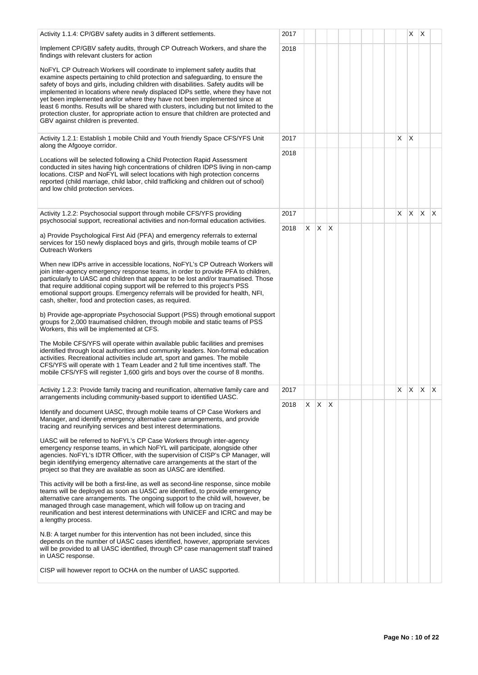| Activity 1.1.4: CP/GBV safety audits in 3 different settlements.                                                                                                                                                                                                                                                                                                                                                                                                                                                                                                                                                                             | 2017 |    |         |              |  |  |    | Χ     | X   |    |
|----------------------------------------------------------------------------------------------------------------------------------------------------------------------------------------------------------------------------------------------------------------------------------------------------------------------------------------------------------------------------------------------------------------------------------------------------------------------------------------------------------------------------------------------------------------------------------------------------------------------------------------------|------|----|---------|--------------|--|--|----|-------|-----|----|
| Implement CP/GBV safety audits, through CP Outreach Workers, and share the<br>findings with relevant clusters for action                                                                                                                                                                                                                                                                                                                                                                                                                                                                                                                     | 2018 |    |         |              |  |  |    |       |     |    |
| NoFYL CP Outreach Workers will coordinate to implement safety audits that<br>examine aspects pertaining to child protection and safeguarding, to ensure the<br>safety of boys and girls, including children with disabilities. Safety audits will be<br>implemented in locations where newly displaced IDPs settle, where they have not<br>yet been implemented and/or where they have not been implemented since at<br>least 6 months. Results will be shared with clusters, including but not limited to the<br>protection cluster, for appropriate action to ensure that children are protected and<br>GBV against children is prevented. |      |    |         |              |  |  |    |       |     |    |
| Activity 1.2.1: Establish 1 mobile Child and Youth friendly Space CFS/YFS Unit<br>along the Afgooye corridor.                                                                                                                                                                                                                                                                                                                                                                                                                                                                                                                                | 2017 |    |         |              |  |  | X. | ΙX    |     |    |
| Locations will be selected following a Child Protection Rapid Assessment<br>conducted in sites having high concentrations of children IDPS living in non-camp<br>locations. CISP and NoFYL will select locations with high protection concerns<br>reported (child marriage, child labor, child trafficking and children out of school)<br>and low child protection services.                                                                                                                                                                                                                                                                 | 2018 |    |         |              |  |  |    |       |     |    |
| Activity 1.2.2: Psychosocial support through mobile CFS/YFS providing<br>psychosocial support, recreational activities and non-formal education activities.                                                                                                                                                                                                                                                                                                                                                                                                                                                                                  | 2017 |    |         |              |  |  | X. | ΙX.   | ΙX. | X. |
| a) Provide Psychological First Aid (PFA) and emergency referrals to external<br>services for 150 newly displaced boys and girls, through mobile teams of CP<br><b>Outreach Workers</b>                                                                                                                                                                                                                                                                                                                                                                                                                                                       | 2018 | X. | X.      | $\mathsf{X}$ |  |  |    |       |     |    |
| When new IDPs arrive in accessible locations, NoFYL's CP Outreach Workers will<br>join inter-agency emergency response teams, in order to provide PFA to children,<br>particularly to UASC and children that appear to be lost and/or traumatised. Those<br>that require additional coping support will be referred to this project's PSS<br>emotional support groups. Emergency referrals will be provided for health, NFI,<br>cash, shelter, food and protection cases, as required.                                                                                                                                                       |      |    |         |              |  |  |    |       |     |    |
| b) Provide age-appropriate Psychosocial Support (PSS) through emotional support<br>groups for 2,000 traumatised children, through mobile and static teams of PSS<br>Workers, this will be implemented at CFS.                                                                                                                                                                                                                                                                                                                                                                                                                                |      |    |         |              |  |  |    |       |     |    |
| The Mobile CFS/YFS will operate within available public facilities and premises<br>identified through local authorities and community leaders. Non-formal education<br>activities. Recreational activities include art, sport and games. The mobile<br>CFS/YFS will operate with 1 Team Leader and 2 full time incentives staff. The<br>mobile CFS/YFS will register 1,600 girls and boys over the course of 8 months.                                                                                                                                                                                                                       |      |    |         |              |  |  |    |       |     |    |
| Activity 1.2.3: Provide family tracing and reunification, alternative family care and<br>arrangements including community-based support to identified UASC.                                                                                                                                                                                                                                                                                                                                                                                                                                                                                  | 2017 |    |         |              |  |  | X. | X X X |     |    |
| Identify and document UASC, through mobile teams of CP Case Workers and<br>Manager, and identify emergency alternative care arrangements, and provide<br>tracing and reunifying services and best interest determinations.                                                                                                                                                                                                                                                                                                                                                                                                                   | 2018 | X. | $X$ $X$ |              |  |  |    |       |     |    |
| UASC will be referred to NoFYL's CP Case Workers through inter-agency<br>emergency response teams, in which NoFYL will participate, alongside other<br>agencies. NoFYL's IDTR Officer, with the supervision of CISP's CP Manager, will<br>begin identifying emergency alternative care arrangements at the start of the<br>project so that they are available as soon as UASC are identified.                                                                                                                                                                                                                                                |      |    |         |              |  |  |    |       |     |    |
| This activity will be both a first-line, as well as second-line response, since mobile<br>teams will be deployed as soon as UASC are identified, to provide emergency<br>alternative care arrangements. The ongoing support to the child will, however, be<br>managed through case management, which will follow up on tracing and<br>reunification and best interest determinations with UNICEF and ICRC and may be<br>a lengthy process.                                                                                                                                                                                                   |      |    |         |              |  |  |    |       |     |    |
| N.B: A target number for this intervention has not been included, since this<br>depends on the number of UASC cases identified, however, appropriate services<br>will be provided to all UASC identified, through CP case management staff trained<br>in UASC response.                                                                                                                                                                                                                                                                                                                                                                      |      |    |         |              |  |  |    |       |     |    |
| CISP will however report to OCHA on the number of UASC supported.                                                                                                                                                                                                                                                                                                                                                                                                                                                                                                                                                                            |      |    |         |              |  |  |    |       |     |    |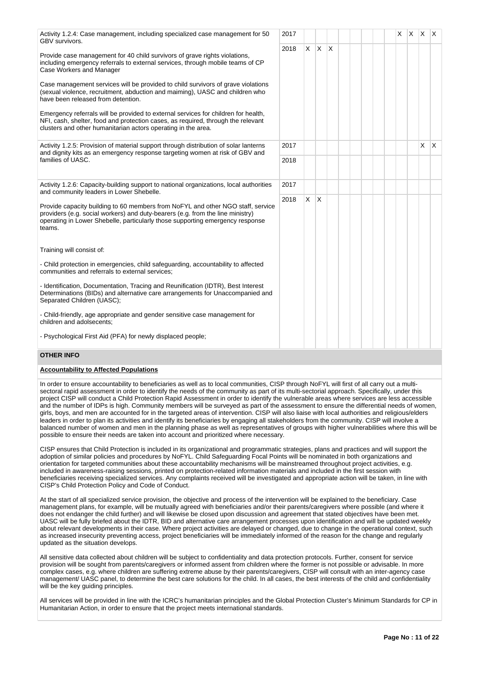| 2017<br>Activity 1.2.4: Case management, including specialized case management for 50<br>GBV survivors.                                                                                                                                                                                                                                                                                                                                                                                                                                                                                                                                       |      |    |              |              |  |  | X. | $x \times x$ |     |
|-----------------------------------------------------------------------------------------------------------------------------------------------------------------------------------------------------------------------------------------------------------------------------------------------------------------------------------------------------------------------------------------------------------------------------------------------------------------------------------------------------------------------------------------------------------------------------------------------------------------------------------------------|------|----|--------------|--------------|--|--|----|--------------|-----|
| Provide case management for 40 child survivors of grave rights violations,<br>including emergency referrals to external services, through mobile teams of CP<br>Case Workers and Manager<br>Case management services will be provided to child survivors of grave violations<br>(sexual violence, recruitment, abduction and maiming), UASC and children who<br>have been released from detention.<br>Emergency referrals will be provided to external services for children for health,<br>NFI, cash, shelter, food and protection cases, as required, through the relevant<br>clusters and other humanitarian actors operating in the area. | 2018 | X. | X            | $\mathsf{X}$ |  |  |    |              |     |
| Activity 1.2.5: Provision of material support through distribution of solar lanterns<br>and dignity kits as an emergency response targeting women at risk of GBV and                                                                                                                                                                                                                                                                                                                                                                                                                                                                          | 2017 |    |              |              |  |  |    | X            | IX. |
| families of UASC.<br>2017                                                                                                                                                                                                                                                                                                                                                                                                                                                                                                                                                                                                                     | 2018 |    |              |              |  |  |    |              |     |
| Activity 1.2.6: Capacity-building support to national organizations, local authorities<br>and community leaders in Lower Shebelle.<br>2018<br>Provide capacity building to 60 members from NoFYL and other NGO staff, service<br>providers (e.g. social workers) and duty-bearers (e.g. from the line ministry)<br>operating in Lower Shebelle, particularly those supporting emergency response<br>teams.                                                                                                                                                                                                                                    |      |    |              |              |  |  |    |              |     |
|                                                                                                                                                                                                                                                                                                                                                                                                                                                                                                                                                                                                                                               |      | X  | $\mathsf{X}$ |              |  |  |    |              |     |
| Training will consist of:                                                                                                                                                                                                                                                                                                                                                                                                                                                                                                                                                                                                                     |      |    |              |              |  |  |    |              |     |
| - Child protection in emergencies, child safeguarding, accountability to affected<br>communities and referrals to external services;                                                                                                                                                                                                                                                                                                                                                                                                                                                                                                          |      |    |              |              |  |  |    |              |     |
| - Identification, Documentation, Tracing and Reunification (IDTR), Best Interest<br>Determinations (BIDs) and alternative care arrangements for Unaccompanied and<br>Separated Children (UASC);                                                                                                                                                                                                                                                                                                                                                                                                                                               |      |    |              |              |  |  |    |              |     |
| - Child-friendly, age appropriate and gender sensitive case management for<br>children and adolsecents;                                                                                                                                                                                                                                                                                                                                                                                                                                                                                                                                       |      |    |              |              |  |  |    |              |     |
| - Psychological First Aid (PFA) for newly displaced people;                                                                                                                                                                                                                                                                                                                                                                                                                                                                                                                                                                                   |      |    |              |              |  |  |    |              |     |

## **OTHER INFO**

## **Accountability to Affected Populations**

In order to ensure accountability to beneficiaries as well as to local communities, CISP through NoFYL will first of all carry out a multisectoral rapid assessment in order to identify the needs of the community as part of its multi-sectorial approach. Specifically, under this project CISP will conduct a Child Protection Rapid Assessment in order to identify the vulnerable areas where services are less accessible and the number of IDPs is high. Community members will be surveyed as part of the assessment to ensure the differential needs of women, girls, boys, and men are accounted for in the targeted areas of intervention. CISP will also liaise with local authorities and religious/elders leaders in order to plan its activities and identify its beneficiaries by engaging all stakeholders from the community. CISP will involve a balanced number of women and men in the planning phase as well as representatives of groups with higher vulnerabilities where this will be possible to ensure their needs are taken into account and prioritized where necessary.

CISP ensures that Child Protection is included in its organizational and programmatic strategies, plans and practices and will support the adoption of similar policies and procedures by NoFYL. Child Safeguarding Focal Points will be nominated in both organizations and orientation for targeted communities about these accountability mechanisms will be mainstreamed throughout project activities, e.g. included in awareness-raising sessions, printed on protection-related information materials and included in the first session with beneficiaries receiving specialized services. Any complaints received will be investigated and appropriate action will be taken, in line with CISP's Child Protection Policy and Code of Conduct.

At the start of all specialized service provision, the objective and process of the intervention will be explained to the beneficiary. Case management plans, for example, will be mutually agreed with beneficiaries and/or their parents/caregivers where possible (and where it does not endanger the child further) and will likewise be closed upon discussion and agreement that stated objectives have been met. UASC will be fully briefed about the IDTR, BID and alternative care arrangement processes upon identification and will be updated weekly about relevant developments in their case. Where project activities are delayed or changed, due to change in the operational context, such as increased insecurity preventing access, project beneficiaries will be immediately informed of the reason for the change and regularly updated as the situation develops.

All sensitive data collected about children will be subject to confidentiality and data protection protocols. Further, consent for service provision will be sought from parents/caregivers or informed assent from children where the former is not possible or advisable. In more complex cases, e.g. where children are suffering extreme abuse by their parents/caregivers, CISP will consult with an inter-agency case management/ UASC panel, to determine the best care solutions for the child. In all cases, the best interests of the child and confidentiality will be the key guiding principles.

All services will be provided in line with the ICRC's humanitarian principles and the Global Protection Cluster's Minimum Standards for CP in Humanitarian Action, in order to ensure that the project meets international standards.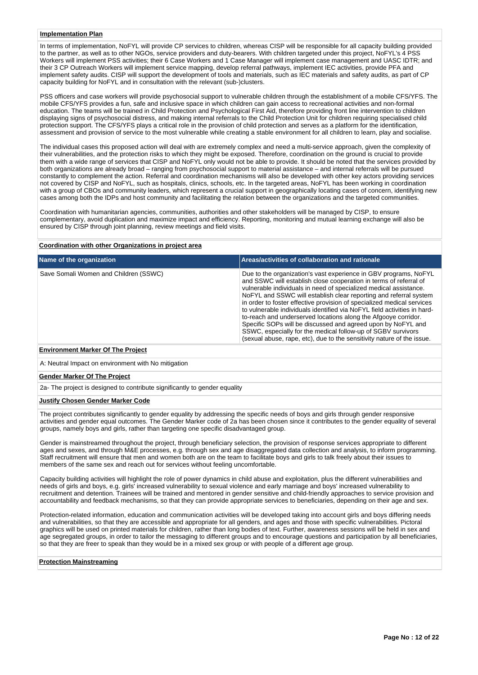## **Implementation Plan**

In terms of implementation, NoFYL will provide CP services to children, whereas CISP will be responsible for all capacity building provided to the partner, as well as to other NGOs, service providers and duty-bearers. With children targeted under this project, NoFYL's 4 PSS Workers will implement PSS activities; their 6 Case Workers and 1 Case Manager will implement case management and UASC IDTR; and their 3 CP Outreach Workers will implement service mapping, develop referral pathways, implement IEC activities, provide PFA and implement safety audits. CISP will support the development of tools and materials, such as IEC materials and safety audits, as part of CP capacity building for NoFYL and in consultation with the relevant (sub-)clusters.

PSS officers and case workers will provide psychosocial support to vulnerable children through the establishment of a mobile CFS/YFS. The mobile CFS/YFS provides a fun, safe and inclusive space in which children can gain access to recreational activities and non-formal education. The teams will be trained in Child Protection and Psychological First Aid, therefore providing front line intervention to children displaying signs of psychosocial distress, and making internal referrals to the Child Protection Unit for children requiring specialised child protection support. The CFS/YFS plays a critical role in the provision of child protection and serves as a platform for the identification, assessment and provision of service to the most vulnerable while creating a stable environment for all children to learn, play and socialise.

The individual cases this proposed action will deal with are extremely complex and need a multi-service approach, given the complexity of their vulnerabilities, and the protection risks to which they might be exposed. Therefore, coordination on the ground is crucial to provide them with a wide range of services that CISP and NoFYL only would not be able to provide. It should be noted that the services provided by both organizations are already broad – ranging from psychosocial support to material assistance – and internal referrals will be pursued constantly to complement the action. Referral and coordination mechanisms will also be developed with other key actors providing services not covered by CISP and NoFYL, such as hospitals, clinics, schools, etc. In the targeted areas, NoFYL has been working in coordination with a group of CBOs and community leaders, which represent a crucial support in geographically locating cases of concern, identifying new cases among both the IDPs and host community and facilitating the relation between the organizations and the targeted communities.

Coordination with humanitarian agencies, communities, authorities and other stakeholders will be managed by CISP, to ensure complementary, avoid duplication and maximize impact and efficiency. Reporting, monitoring and mutual learning exchange will also be ensured by CISP through joint planning, review meetings and field visits.

### **Coordination with other Organizations in project area**

| Name of the organization              | Areas/activities of collaboration and rationale                                                                                                                                                                                                                                                                                                                                                                                                                                                                                                                                                                                                                                                                   |
|---------------------------------------|-------------------------------------------------------------------------------------------------------------------------------------------------------------------------------------------------------------------------------------------------------------------------------------------------------------------------------------------------------------------------------------------------------------------------------------------------------------------------------------------------------------------------------------------------------------------------------------------------------------------------------------------------------------------------------------------------------------------|
| Save Somali Women and Children (SSWC) | Due to the organization's vast experience in GBV programs, NoFYL<br>and SSWC will establish close cooperation in terms of referral of<br>vulnerable individuals in need of specialized medical assistance.<br>NoFYL and SSWC will establish clear reporting and referral system<br>in order to foster effective provision of specialized medical services<br>to vulnerable individuals identified via NoFYL field activities in hard-<br>to-reach and underserved locations along the Afgooye corridor.<br>Specific SOPs will be discussed and agreed upon by NoFYL and<br>SSWC, especially for the medical follow-up of SGBV survivors<br>(sexual abuse, rape, etc), due to the sensitivity nature of the issue. |

#### **Environment Marker Of The Project**

A: Neutral Impact on environment with No mitigation

#### **Gender Marker Of The Project**

2a- The project is designed to contribute significantly to gender equality

### **Justify Chosen Gender Marker Code**

The project contributes significantly to gender equality by addressing the specific needs of boys and girls through gender responsive activities and gender equal outcomes. The Gender Marker code of 2a has been chosen since it contributes to the gender equality of several groups, namely boys and girls, rather than targeting one specific disadvantaged group.

Gender is mainstreamed throughout the project, through beneficiary selection, the provision of response services appropriate to different ages and sexes, and through M&E processes, e.g. through sex and age disaggregated data collection and analysis, to inform programming. Staff recruitment will ensure that men and women both are on the team to facilitate boys and girls to talk freely about their issues to members of the same sex and reach out for services without feeling uncomfortable.

Capacity building activities will highlight the role of power dynamics in child abuse and exploitation, plus the different vulnerabilities and needs of girls and boys, e.g. girls' increased vulnerability to sexual violence and early marriage and boys' increased vulnerability to recruitment and detention. Trainees will be trained and mentored in gender sensitive and child-friendly approaches to service provision and accountability and feedback mechanisms, so that they can provide appropriate services to beneficiaries, depending on their age and sex.

Protection-related information, education and communication activities will be developed taking into account girls and boys differing needs and vulnerabilities, so that they are accessible and appropriate for all genders, and ages and those with specific vulnerabilities. Pictoral graphics will be used on printed materials for children, rather than long bodies of text. Further, awareness sessions will be held in sex and age segregated groups, in order to tailor the messaging to different groups and to encourage questions and participation by all beneficiaries, so that they are freer to speak than they would be in a mixed sex group or with people of a different age group.

#### **Protection Mainstreaming**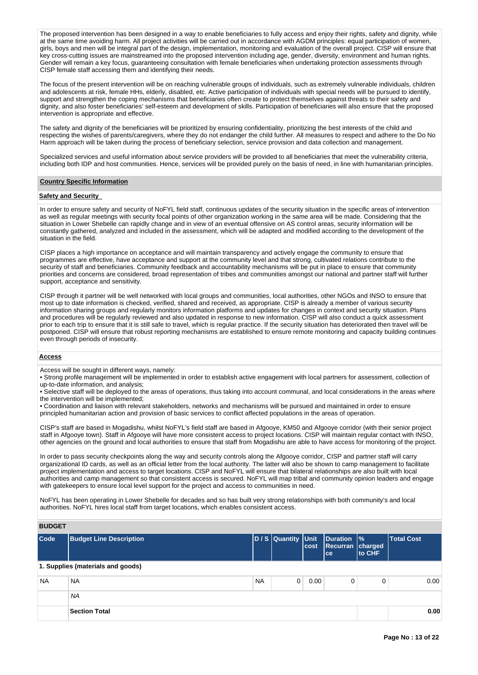The proposed intervention has been designed in a way to enable beneficiaries to fully access and enjoy their rights, safety and dignity, while at the same time avoiding harm. All project activities will be carried out in accordance with AGDM principles: equal participation of women, girls, boys and men will be integral part of the design, implementation, monitoring and evaluation of the overall project. CISP will ensure that key cross-cutting issues are mainstreamed into the proposed intervention including age, gender, diversity, environment and human rights. Gender will remain a key focus, guaranteeing consultation with female beneficiaries when undertaking protection assessments through CISP female staff accessing them and identifying their needs.

The focus of the present intervention will be on reaching vulnerable groups of individuals, such as extremely vulnerable individuals, children and adolescents at risk, female HHs, elderly, disabled, etc. Active participation of individuals with special needs will be pursued to identify, support and strengthen the coping mechanisms that beneficiaries often create to protect themselves against threats to their safety and dignity, and also foster beneficiaries' self-esteem and development of skills. Participation of beneficiaries will also ensure that the proposed intervention is appropriate and effective.

The safety and dignity of the beneficiaries will be prioritized by ensuring confidentiality, prioritizing the best interests of the child and respecting the wishes of parents/caregivers, where they do not endanger the child further. All measures to respect and adhere to the Do No Harm approach will be taken during the process of beneficiary selection, service provision and data collection and management.

Specialized services and useful information about service providers will be provided to all beneficiaries that meet the vulnerability criteria, including both IDP and host communities. Hence, services will be provided purely on the basis of need, in line with humanitarian principles.

#### **Country Specific Information**

## **Safety and Security**

In order to ensure safety and security of NoFYL field staff, continuous updates of the security situation in the specific areas of intervention as well as regular meetings with security focal points of other organization working in the same area will be made. Considering that the situation in Lower Shebelle can rapidly change and in view of an eventual offensive on AS control areas, security information will be constantly gathered, analyzed and included in the assessment, which will be adapted and modified according to the development of the situation in the field.

CISP places a high importance on acceptance and will maintain transparency and actively engage the community to ensure that programmes are effective, have acceptance and support at the community level and that strong, cultivated relations contribute to the security of staff and beneficiaries. Community feedback and accountability mechanisms will be put in place to ensure that community priorities and concerns are considered, broad representation of tribes and communities amongst our national and partner staff will further support, acceptance and sensitivity.

CISP through it partner will be well networked with local groups and communities, local authorities, other NGOs and INSO to ensure that most up to date information is checked, verified, shared and received, as appropriate. CISP is already a member of various security information sharing groups and regularly monitors information platforms and updates for changes in context and security situation. Plans and procedures will be regularly reviewed and also updated in response to new information. CISP will also conduct a quick assessment prior to each trip to ensure that it is still safe to travel, which is regular practice. If the security situation has deteriorated then travel will be postponed. CISP will ensure that robust reporting mechanisms are established to ensure remote monitoring and capacity building continues even through periods of insecurity.

#### **Access**

Access will be sought in different ways, namely:

• Strong profile management will be implemented in order to establish active engagement with local partners for assessment, collection of up-to-date information, and analysis;

• Selective staff will be deployed to the areas of operations, thus taking into account communal, and local considerations in the areas where the intervention will be implemented;

• Coordination and liaison with relevant stakeholders, networks and mechanisms will be pursued and maintained in order to ensure principled humanitarian action and provision of basic services to conflict affected populations in the areas of operation.

CISP's staff are based in Mogadishu, whilst NoFYL's field staff are based in Afgooye, KM50 and Afgooye corridor (with their senior project staff in Afgooye town). Staff in Afgooye will have more consistent access to project locations. CISP will maintain regular contact with INSO, other agencies on the ground and local authorities to ensure that staff from Mogadishu are able to have access for monitoring of the project.

In order to pass security checkpoints along the way and security controls along the Afgooye corridor, CISP and partner staff will carry organizational ID cards, as well as an official letter from the local authority. The latter will also be shown to camp management to facilitate project implementation and access to target locations. CISP and NoFYL will ensure that bilateral relationships are also built with local authorities and camp management so that consistent access is secured. NoFYL will map tribal and community opinion leaders and engage with gatekeepers to ensure local level support for the project and access to communities in need.

NoFYL has been operating in Lower Shebelle for decades and so has built very strong relationships with both community's and local authorities. NoFYL hires local staff from target locations, which enables consistent access.

## **BUDGET**

| Code      | <b>Budget Line Description</b>    |           | D / S Quantity Unit | <b>cost</b> | Duration  %<br>Recurran charged<br><b>ce</b> | to CHF | <b>Total Cost</b> |
|-----------|-----------------------------------|-----------|---------------------|-------------|----------------------------------------------|--------|-------------------|
|           | 1. Supplies (materials and goods) |           |                     |             |                                              |        |                   |
| <b>NA</b> | <b>NA</b>                         | <b>NA</b> | $\Omega$            | 0.00        | 0                                            | 0      | 0.00 <sub>1</sub> |
|           | <b>NA</b>                         |           |                     |             |                                              |        |                   |
|           | <b>Section Total</b>              |           |                     |             |                                              |        | 0.00              |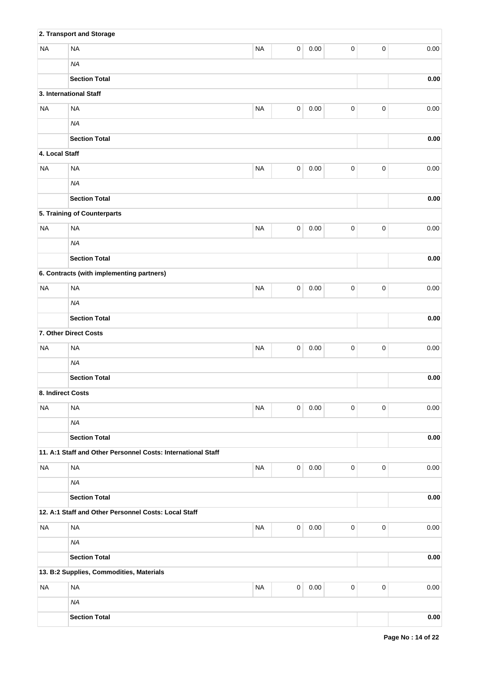|                   | 2. Transport and Storage                                     |           |             |          |             |           |          |
|-------------------|--------------------------------------------------------------|-----------|-------------|----------|-------------|-----------|----------|
| <b>NA</b>         | <b>NA</b>                                                    | <b>NA</b> | 0           | 0.00     | $\mathsf 0$ | $\pmb{0}$ | 0.00     |
|                   | <b>NA</b>                                                    |           |             |          |             |           |          |
|                   | <b>Section Total</b>                                         |           |             |          |             |           | 0.00     |
|                   | 3. International Staff                                       |           |             |          |             |           |          |
| <b>NA</b>         | <b>NA</b>                                                    | <b>NA</b> | $\pmb{0}$   | 0.00     | $\pmb{0}$   | $\pmb{0}$ | 0.00     |
|                   | <b>NA</b>                                                    |           |             |          |             |           |          |
|                   | <b>Section Total</b>                                         |           |             |          |             |           | 0.00     |
| 4. Local Staff    |                                                              |           |             |          |             |           |          |
| <b>NA</b>         | <b>NA</b>                                                    | <b>NA</b> | $\mathbf 0$ | 0.00     | $\mathsf 0$ | $\pmb{0}$ | 0.00     |
|                   | <b>NA</b>                                                    |           |             |          |             |           |          |
|                   | <b>Section Total</b>                                         |           |             |          |             |           | 0.00     |
|                   | 5. Training of Counterparts                                  |           |             |          |             |           |          |
| <b>NA</b>         | <b>NA</b>                                                    | <b>NA</b> | 0           | 0.00     | 0           | $\pmb{0}$ | 0.00     |
|                   | <b>NA</b>                                                    |           |             |          |             |           |          |
|                   | <b>Section Total</b>                                         |           |             |          |             |           | $0.00\,$ |
|                   | 6. Contracts (with implementing partners)                    |           |             |          |             |           |          |
| <b>NA</b>         | <b>NA</b>                                                    | <b>NA</b> | 0           | 0.00     | 0           | $\pmb{0}$ | 0.00     |
|                   | <b>NA</b>                                                    |           |             |          |             |           |          |
|                   | <b>Section Total</b>                                         |           |             |          |             |           | $0.00\,$ |
|                   | 7. Other Direct Costs                                        |           |             |          |             |           |          |
| <b>NA</b>         | <b>NA</b>                                                    | <b>NA</b> | $\pmb{0}$   | 0.00     | $\mathsf 0$ | $\pmb{0}$ | 0.00     |
|                   | <b>NA</b>                                                    |           |             |          |             |           |          |
|                   | <b>Section Total</b>                                         |           |             |          |             |           | 0.00     |
| 8. Indirect Costs |                                                              |           |             |          |             |           |          |
| <b>NA</b>         | <b>NA</b>                                                    | <b>NA</b> | 0           | $0.00\,$ | 0           | $\pmb{0}$ | 0.00     |
|                   | <b>NA</b>                                                    |           |             |          |             |           |          |
|                   | <b>Section Total</b>                                         |           |             |          |             |           | 0.00     |
|                   | 11. A:1 Staff and Other Personnel Costs: International Staff |           |             |          |             |           |          |
| <b>NA</b>         | <b>NA</b>                                                    | <b>NA</b> | 0           | 0.00     | $\pmb{0}$   | $\pmb{0}$ | 0.00     |
|                   | <b>NA</b>                                                    |           |             |          |             |           |          |
|                   | <b>Section Total</b>                                         |           |             |          |             |           | 0.00     |
|                   | 12. A:1 Staff and Other Personnel Costs: Local Staff         |           |             |          |             |           |          |
| <b>NA</b>         | <b>NA</b>                                                    | <b>NA</b> | $\pmb{0}$   | $0.00\,$ | $\mathsf 0$ | $\pmb{0}$ | 0.00     |
|                   | <b>NA</b>                                                    |           |             |          |             |           |          |
|                   | <b>Section Total</b>                                         |           |             |          |             |           | 0.00     |
|                   | 13. B:2 Supplies, Commodities, Materials                     |           |             |          |             |           |          |
| <b>NA</b>         | <b>NA</b>                                                    | <b>NA</b> | $\pmb{0}$   | 0.00     | $\pmb{0}$   | $\pmb{0}$ | 0.00     |
|                   | <b>NA</b>                                                    |           |             |          |             |           |          |
|                   | <b>Section Total</b>                                         |           |             |          |             |           | 0.00     |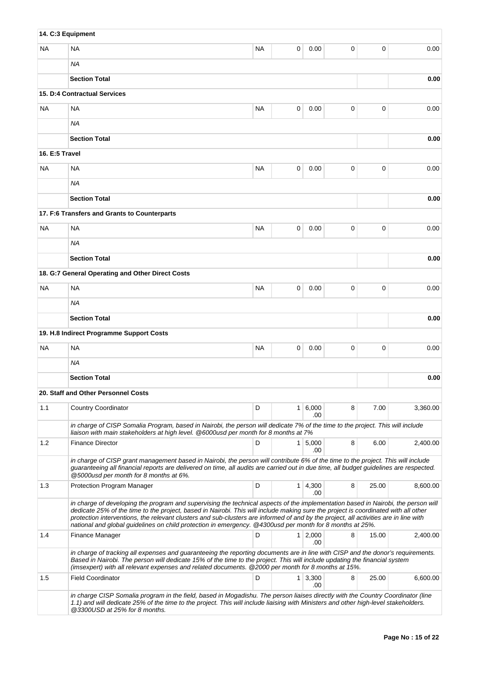|                | 14. C:3 Equipment                                                                                                                                                                                                                                                                                                                                                                                                                                                                                                           |           |                |              |             |       |          |
|----------------|-----------------------------------------------------------------------------------------------------------------------------------------------------------------------------------------------------------------------------------------------------------------------------------------------------------------------------------------------------------------------------------------------------------------------------------------------------------------------------------------------------------------------------|-----------|----------------|--------------|-------------|-------|----------|
| NA.            | <b>NA</b>                                                                                                                                                                                                                                                                                                                                                                                                                                                                                                                   | <b>NA</b> | 0              | 0.00         | 0           | 0     | 0.00     |
|                | ΝA                                                                                                                                                                                                                                                                                                                                                                                                                                                                                                                          |           |                |              |             |       |          |
|                | <b>Section Total</b>                                                                                                                                                                                                                                                                                                                                                                                                                                                                                                        |           |                |              |             |       | 0.00     |
|                | 15. D:4 Contractual Services                                                                                                                                                                                                                                                                                                                                                                                                                                                                                                |           |                |              |             |       |          |
| NA.            | <b>NA</b>                                                                                                                                                                                                                                                                                                                                                                                                                                                                                                                   | <b>NA</b> | 0              | 0.00         | 0           | 0     | 0.00     |
|                | ΝA                                                                                                                                                                                                                                                                                                                                                                                                                                                                                                                          |           |                |              |             |       |          |
|                | <b>Section Total</b>                                                                                                                                                                                                                                                                                                                                                                                                                                                                                                        |           |                |              |             |       | 0.00     |
| 16. E:5 Travel |                                                                                                                                                                                                                                                                                                                                                                                                                                                                                                                             |           |                |              |             |       |          |
| NA.            | <b>NA</b>                                                                                                                                                                                                                                                                                                                                                                                                                                                                                                                   | <b>NA</b> | 0              | 0.00         | $\mathbf 0$ | 0     | 0.00     |
|                | <b>NA</b>                                                                                                                                                                                                                                                                                                                                                                                                                                                                                                                   |           |                |              |             |       |          |
|                | <b>Section Total</b>                                                                                                                                                                                                                                                                                                                                                                                                                                                                                                        |           |                |              |             |       | 0.00     |
|                | 17. F:6 Transfers and Grants to Counterparts                                                                                                                                                                                                                                                                                                                                                                                                                                                                                |           |                |              |             |       |          |
| NA             | <b>NA</b>                                                                                                                                                                                                                                                                                                                                                                                                                                                                                                                   | <b>NA</b> | 0              | 0.00         | 0           | 0     | 0.00     |
|                | ΝA                                                                                                                                                                                                                                                                                                                                                                                                                                                                                                                          |           |                |              |             |       |          |
|                | <b>Section Total</b>                                                                                                                                                                                                                                                                                                                                                                                                                                                                                                        |           |                |              |             |       | 0.00     |
|                | 18. G:7 General Operating and Other Direct Costs                                                                                                                                                                                                                                                                                                                                                                                                                                                                            |           |                |              |             |       |          |
| ΝA             | <b>NA</b>                                                                                                                                                                                                                                                                                                                                                                                                                                                                                                                   | <b>NA</b> | 0              | 0.00         | $\mathbf 0$ | 0     | 0.00     |
|                | ΝA                                                                                                                                                                                                                                                                                                                                                                                                                                                                                                                          |           |                |              |             |       |          |
|                | <b>Section Total</b>                                                                                                                                                                                                                                                                                                                                                                                                                                                                                                        |           |                |              |             |       | 0.00     |
|                | 19. H.8 Indirect Programme Support Costs                                                                                                                                                                                                                                                                                                                                                                                                                                                                                    |           |                |              |             |       |          |
| NA.            | <b>NA</b>                                                                                                                                                                                                                                                                                                                                                                                                                                                                                                                   | <b>NA</b> | 0              | 0.00         | 0           | 0     | 0.00     |
|                | ΝA                                                                                                                                                                                                                                                                                                                                                                                                                                                                                                                          |           |                |              |             |       |          |
|                | <b>Section Total</b>                                                                                                                                                                                                                                                                                                                                                                                                                                                                                                        |           |                |              |             |       | 0.00     |
|                | 20. Staff and Other Personnel Costs                                                                                                                                                                                                                                                                                                                                                                                                                                                                                         |           |                |              |             |       |          |
| 1.1            | <b>Country Coordinator</b>                                                                                                                                                                                                                                                                                                                                                                                                                                                                                                  | D         | 1              | 6,000<br>.00 | 8           | 7.00  | 3,360.00 |
|                | in charge of CISP Somalia Program, based in Nairobi, the person will dedicate 7% of the time to the project. This will include<br>liaison with main stakeholders at high level. @6000usd per month for 8 months at 7%                                                                                                                                                                                                                                                                                                       |           |                |              |             |       |          |
| 1.2            | <b>Finance Director</b>                                                                                                                                                                                                                                                                                                                                                                                                                                                                                                     | D         | 1 <sup>1</sup> | 5,000<br>.00 | 8           | 6.00  | 2,400.00 |
|                | in charge of CISP grant management based in Nairobi, the person will contribute 6% of the time to the project. This will include<br>guaranteeing all financial reports are delivered on time, all audits are carried out in due time, all budget guidelines are respected.<br>@5000usd per month for 8 months at 6%.                                                                                                                                                                                                        |           |                |              |             |       |          |
| 1.3            | Protection Program Manager                                                                                                                                                                                                                                                                                                                                                                                                                                                                                                  | D         | 1 <sup>1</sup> | 4,300<br>.00 | 8           | 25.00 | 8,600.00 |
|                | in charge of developing the program and supervising the technical aspects of the implementation based in Nairobi, the person will<br>dedicate 25% of the time to the project, based in Nairobi. This will include making sure the project is coordinated with all other<br>protection interventions, the relevant clusters and sub-clusters are informed of and by the project, all activities are in line with<br>national and global guidelines on child protection in emergency. @4300usd per month for 8 months at 25%. |           |                |              |             |       |          |
| 1.4            | Finance Manager                                                                                                                                                                                                                                                                                                                                                                                                                                                                                                             | D         | 1 <sup>1</sup> | 2,000<br>.00 | 8           | 15.00 | 2,400.00 |
|                | in charge of tracking all expenses and guaranteeing the reporting documents are in line with CISP and the donor's requirements.<br>Based in Nairobi. The person will dedicate 15% of the time to the project. This will include updating the financial system<br>(imsexpert) with all relevant expenses and related documents. @2000 per month for 8 months at 15%.                                                                                                                                                         |           |                |              |             |       |          |
| 1.5            | <b>Field Coordinator</b>                                                                                                                                                                                                                                                                                                                                                                                                                                                                                                    | D         | $\mathbf{1}$   | 3,300<br>.00 | 8           | 25.00 | 6,600.00 |
|                | in charge CISP Somalia program in the field, based in Mogadishu. The person liaises directly with the Country Coordinator (line<br>1.1) and will dedicate 25% of the time to the project. This will include liaising with Ministers and other high-level stakeholders.<br>@3300USD at 25% for 8 months.                                                                                                                                                                                                                     |           |                |              |             |       |          |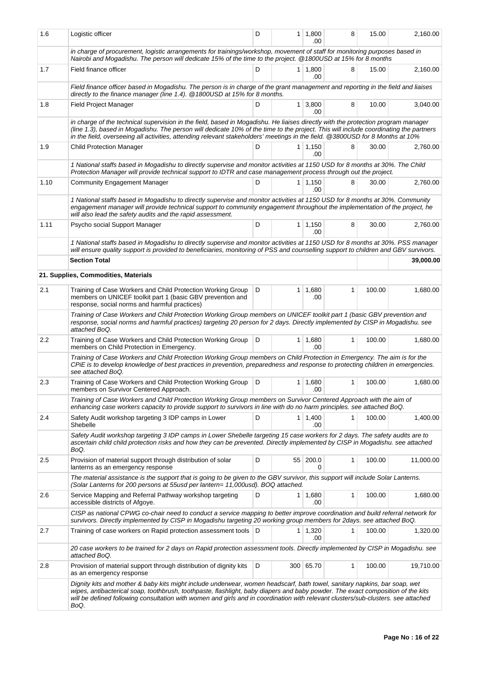| 1.6  | Logistic officer                                                                                                                                                                                                                                                                                                                                                                                          | D     | 1 <sup>1</sup> | 1,800<br>.00          | 8 | 15.00  | 2,160.00  |  |  |  |
|------|-----------------------------------------------------------------------------------------------------------------------------------------------------------------------------------------------------------------------------------------------------------------------------------------------------------------------------------------------------------------------------------------------------------|-------|----------------|-----------------------|---|--------|-----------|--|--|--|
|      | in charge of procurement, logistic arrangements for trainings/workshop, movement of staff for monitoring purposes based in<br>Nairobi and Mogadishu. The person will dedicate 15% of the time to the project. @1800USD at 15% for 8 months                                                                                                                                                                |       |                |                       |   |        |           |  |  |  |
| 1.7  | Field finance officer                                                                                                                                                                                                                                                                                                                                                                                     | D     |                | $1 \mid 1,800$<br>.00 | 8 | 15.00  | 2,160.00  |  |  |  |
|      | Field finance officer based in Mogadishu. The person is in charge of the grant management and reporting in the field and liaises<br>directly to the finance manager (line 1.4). @ 1800USD at 15% for 8 months.                                                                                                                                                                                            |       |                |                       |   |        |           |  |  |  |
| 1.8  | Field Project Manager                                                                                                                                                                                                                                                                                                                                                                                     | 10.00 | 3,040.00       |                       |   |        |           |  |  |  |
|      | in charge of the technical supervision in the field, based in Mogadishu. He liaises directly with the protection program manager<br>(line 1.3), based in Mogadishu. The person will dedicate 10% of the time to the project. This will include coordinating the partners<br>in the field, overseeing all activities, attending relevant stakeholders' meetings in the field. @3800USD for 8 Months at 10% |       |                |                       |   |        |           |  |  |  |
| 1.9  | <b>Child Protection Manager</b>                                                                                                                                                                                                                                                                                                                                                                           | D     |                | 1 1,150<br>.00        | 8 | 30.00  | 2,760.00  |  |  |  |
|      | 1 National staffs based in Mogadishu to directly supervise and monitor activities at 1150 USD for 8 months at 30%. The Child<br>Protection Manager will provide technical support to IDTR and case management process through out the project.                                                                                                                                                            |       |                |                       |   |        |           |  |  |  |
| 1.10 | <b>Community Engagement Manager</b>                                                                                                                                                                                                                                                                                                                                                                       | D     |                | $1 \mid 1,150$<br>.00 | 8 | 30.00  | 2,760.00  |  |  |  |
|      | 1 National staffs based in Mogadishu to directly supervise and monitor activities at 1150 USD for 8 months at 30%. Community<br>engagement manager will provide technical support to community engagement throughout the implementation of the project, he<br>will also lead the safety audits and the rapid assessment.                                                                                  |       |                |                       |   |        |           |  |  |  |
| 1.11 | Psycho social Support Manager                                                                                                                                                                                                                                                                                                                                                                             | D     |                | $1 \mid 1,150$<br>.00 | 8 | 30.00  | 2,760.00  |  |  |  |
|      | 1 National staffs based in Mogadishu to directly supervise and monitor activities at 1150 USD for 8 months at 30%. PSS manager<br>will ensure quality support is provided to beneficiaries, monitoring of PSS and counselling support to children and GBV survivors.                                                                                                                                      |       |                |                       |   |        |           |  |  |  |
|      | <b>Section Total</b>                                                                                                                                                                                                                                                                                                                                                                                      |       |                |                       |   |        | 39,000.00 |  |  |  |
|      | 21. Supplies, Commodities, Materials                                                                                                                                                                                                                                                                                                                                                                      |       |                |                       |   |        |           |  |  |  |
| 2.1  | Training of Case Workers and Child Protection Working Group<br>members on UNICEF toolkit part 1 (basic GBV prevention and<br>response, social norms and harmful practices)                                                                                                                                                                                                                                | D     | 1 <sup>1</sup> | 1,680<br>.00          | 1 | 100.00 | 1,680.00  |  |  |  |
|      | Training of Case Workers and Child Protection Working Group members on UNICEF toolkit part 1 (basic GBV prevention and<br>response, social norms and harmful practices) targeting 20 person for 2 days. Directly implemented by CISP in Mogadishu. see<br>attached BoQ.                                                                                                                                   |       |                |                       |   |        |           |  |  |  |
| 2.2  | Training of Case Workers and Child Protection Working Group<br>members on Child Protection in Emergency.                                                                                                                                                                                                                                                                                                  | D     |                | $1 \mid 1,680$<br>.00 | 1 | 100.00 | 1,680.00  |  |  |  |
|      | Training of Case Workers and Child Protection Working Group members on Child Protection in Emergency. The aim is for the<br>CPiE is to develop knowledge of best practices in prevention, preparedness and response to protecting children in emergencies.<br>see attached BoQ.                                                                                                                           |       |                |                       |   |        |           |  |  |  |
| 2.3  | Training of Case Workers and Child Protection Working Group<br>members on Survivor Centered Approach.                                                                                                                                                                                                                                                                                                     | D     |                | $1 \mid 1,680$<br>.00 | 1 | 100.00 | 1,680.00  |  |  |  |
|      | Training of Case Workers and Child Protection Working Group members on Survivor Centered Approach with the aim of<br>enhancing case workers capacity to provide support to survivors in line with do no harm principles. see attached BoQ.                                                                                                                                                                |       |                |                       |   |        |           |  |  |  |
| 2.4  | Safety Audit workshop targeting 3 IDP camps in Lower<br>Shebelle                                                                                                                                                                                                                                                                                                                                          | D     |                | $1 \mid 1,400$<br>.00 | 1 | 100.00 | 1,400.00  |  |  |  |
|      | Safety Audit workshop targeting 3 IDP camps in Lower Shebelle targeting 15 case workers for 2 days. The safety audits are to<br>ascertain child child protection risks and how they can be prevented. Directly implemented by CISP in Mogadishu. see attached<br>BoQ.                                                                                                                                     |       |                |                       |   |        |           |  |  |  |
| 2.5  | Provision of material support through distribution of solar<br>lanterns as an emergency response                                                                                                                                                                                                                                                                                                          | D     | 55             | 200.0<br>0            | 1 | 100.00 | 11,000.00 |  |  |  |
|      | The material assistance is the support that is going to be given to the GBV survivor, this support will include Solar Lanterns.<br>(Solar Lanterns for 200 persons at 55usd per lantern= 11,000usd). BOQ attached.                                                                                                                                                                                        |       |                |                       |   |        |           |  |  |  |
| 2.6  | Service Mapping and Referral Pathway workshop targeting<br>accessible districts of Afgoye.                                                                                                                                                                                                                                                                                                                | D     |                | 1 1,680<br>.00        | 1 | 100.00 | 1,680.00  |  |  |  |
|      | CISP as national CPWG co-chair need to conduct a service mapping to better improve coordination and build referral network for<br>survivors. Directly implemented by CISP in Mogadishu targeting 20 working group members for 2days. see attached BoQ.                                                                                                                                                    |       |                |                       |   |        |           |  |  |  |
| 2.7  | Training of case workers on Rapid protection assessment tools   D                                                                                                                                                                                                                                                                                                                                         |       |                | $1 \mid 1,320$<br>.00 | 1 | 100.00 | 1,320.00  |  |  |  |
|      | 20 case workers to be trained for 2 days on Rapid protection assessment tools. Directly implemented by CISP in Mogadishu. see<br>attached BoQ.                                                                                                                                                                                                                                                            |       |                |                       |   |        |           |  |  |  |
| 2.8  | Provision of material support through distribution of dignity kits<br>as an emergency response                                                                                                                                                                                                                                                                                                            | D     |                | 300 65.70             | 1 | 100.00 | 19,710.00 |  |  |  |
|      | Dignity kits and mother & baby kits might include underwear, women headscarf, bath towel, sanitary napkins, bar soap, wet<br>wipes, antibacterical soap, toothbrush, toothpaste, flashlight, baby diapers and baby powder. The exact composition of the kits<br>will be defined following consultation with women and girls and in coordination with relevant clusters/sub-clusters. see attached<br>BoQ. |       |                |                       |   |        |           |  |  |  |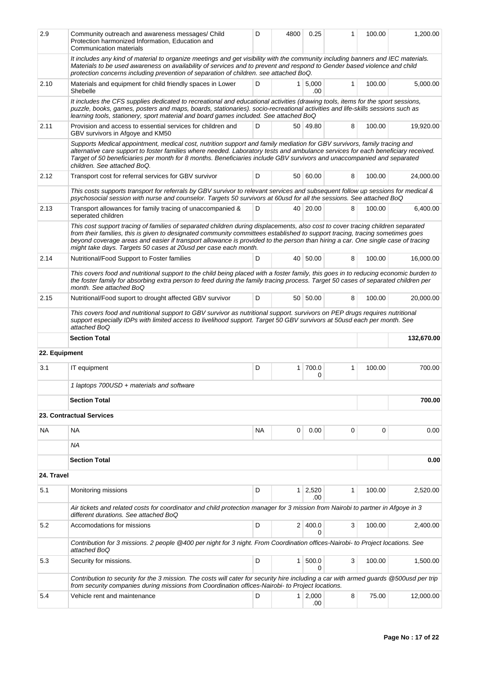| 2.9           | Community outreach and awareness messages/ Child<br>Protection harmonized Information, Education and<br>Communication materials                                                                                                                                                                                                                                                                                                                                       | D         | 4800         | 0.25                  | 1 | 100.00 | 1,200.00   |  |  |
|---------------|-----------------------------------------------------------------------------------------------------------------------------------------------------------------------------------------------------------------------------------------------------------------------------------------------------------------------------------------------------------------------------------------------------------------------------------------------------------------------|-----------|--------------|-----------------------|---|--------|------------|--|--|
|               | It includes any kind of material to organize meetings and get visibility with the community including banners and IEC materials.<br>Materials to be used awareness on availability of services and to prevent and respond to Gender based violence and child<br>protection concerns including prevention of separation of children. see attached BoQ.<br>D<br>$1 \mid 5,000$<br>$\mathbf{1}$                                                                          |           |              |                       |   |        |            |  |  |
| 2.10          | Materials and equipment for child friendly spaces in Lower<br>Shebelle                                                                                                                                                                                                                                                                                                                                                                                                | 100.00    | 5,000.00     |                       |   |        |            |  |  |
|               | It includes the CFS supplies dedicated to recreational and educational activities (drawing tools, items for the sport sessions,<br>puzzle, books, games, posters and maps, boards, stationaries). socio-recreational activities and life-skills sessions such as<br>learning tools, stationery, sport material and board games included. See attached BoQ                                                                                                             |           |              |                       |   |        |            |  |  |
| 2.11          | Provision and access to essential services for children and<br>GBV survivors in Afgoye and KM50                                                                                                                                                                                                                                                                                                                                                                       | D         |              | 50 49.80              | 8 | 100.00 | 19,920.00  |  |  |
|               | Supports Medical appointment, medical cost, nutrition support and family mediation for GBV survivors, family tracing and<br>alternative care support to foster families where needed. Laboratory tests and ambulance services for each beneficiary received.<br>Target of 50 beneficiaries per month for 8 months. Beneficiaries include GBV survivors and unaccompanied and separated<br>children. See attached BoQ.                                                 |           |              |                       |   |        |            |  |  |
| 2.12          | Transport cost for referral services for GBV survivor                                                                                                                                                                                                                                                                                                                                                                                                                 | D         |              | 50 60.00              | 8 | 100.00 | 24,000.00  |  |  |
|               | This costs supports transport for referrals by GBV survivor to relevant services and subsequent follow up sessions for medical &<br>psychosocial session with nurse and counselor. Targets 50 survivors at 60usd for all the sessions. See attached BoQ                                                                                                                                                                                                               |           |              |                       |   |        |            |  |  |
| 2.13          | Transport allowances for family tracing of unaccompanied &<br>seperated children                                                                                                                                                                                                                                                                                                                                                                                      | D         |              | 40 20.00              | 8 | 100.00 | 6,400.00   |  |  |
|               | This cost support tracing of families of separated children during displacements, also cost to cover tracing children separated<br>from their families, this is given to designated community committees established to support tracing, tracing sometimes goes<br>beyond coverage areas and easier if transport allowance is provided to the person than hiring a car. One single case of tracing<br>might take days. Targets 50 cases at 20usd per case each month. |           |              |                       |   |        |            |  |  |
| 2.14          | Nutritional/Food Support to Foster families                                                                                                                                                                                                                                                                                                                                                                                                                           | D         |              | 40 50.00              | 8 | 100.00 | 16,000.00  |  |  |
|               | This covers food and nutritional support to the child being placed with a foster family, this goes in to reducing economic burden to<br>the foster family for absorbing extra person to feed during the family tracing process. Target 50 cases of separated children per<br>month. See attached BoQ                                                                                                                                                                  |           |              |                       |   |        |            |  |  |
| 2.15          | Nutritional/Food suport to drought affected GBV survivor                                                                                                                                                                                                                                                                                                                                                                                                              | D         |              | 50 50.00              | 8 | 100.00 | 20,000.00  |  |  |
|               | This covers food and nutritional support to GBV survivor as nutritional support. survivors on PEP drugs requires nutritional<br>support especially IDPs with limited access to livelihood support. Target 50 GBV survivors at 50usd each per month. See<br>attached BoQ                                                                                                                                                                                               |           |              |                       |   |        |            |  |  |
|               |                                                                                                                                                                                                                                                                                                                                                                                                                                                                       |           |              |                       |   |        |            |  |  |
|               | <b>Section Total</b>                                                                                                                                                                                                                                                                                                                                                                                                                                                  |           |              |                       |   |        | 132,670.00 |  |  |
| 22. Equipment |                                                                                                                                                                                                                                                                                                                                                                                                                                                                       |           |              |                       |   |        |            |  |  |
| 3.1           | IT equipment                                                                                                                                                                                                                                                                                                                                                                                                                                                          | D         | $\mathbf{1}$ | 700.0<br>0            | 1 | 100.00 | 700.00     |  |  |
|               | 1 laptops 700USD + materials and software                                                                                                                                                                                                                                                                                                                                                                                                                             |           |              |                       |   |        |            |  |  |
|               | <b>Section Total</b>                                                                                                                                                                                                                                                                                                                                                                                                                                                  |           |              |                       |   |        | 700.00     |  |  |
|               | 23. Contractual Services                                                                                                                                                                                                                                                                                                                                                                                                                                              |           |              |                       |   |        |            |  |  |
| <b>NA</b>     | <b>NA</b>                                                                                                                                                                                                                                                                                                                                                                                                                                                             | <b>NA</b> | 0            | 0.00                  | 0 | 0      | 0.00       |  |  |
|               | ΝA                                                                                                                                                                                                                                                                                                                                                                                                                                                                    |           |              |                       |   |        |            |  |  |
|               | <b>Section Total</b>                                                                                                                                                                                                                                                                                                                                                                                                                                                  |           |              |                       |   |        | 0.00       |  |  |
| 24. Travel    |                                                                                                                                                                                                                                                                                                                                                                                                                                                                       |           |              |                       |   |        |            |  |  |
| 5.1           | Monitoring missions                                                                                                                                                                                                                                                                                                                                                                                                                                                   | D         |              | $1 \mid 2,520$<br>.00 | 1 | 100.00 | 2,520.00   |  |  |
|               | Air tickets and related costs for coordinator and child protection manager for 3 mission from Nairobi to partner in Afgoye in 3<br>different durations. See attached BoQ                                                                                                                                                                                                                                                                                              |           |              |                       |   |        |            |  |  |
| 5.2           | Accomodations for missions                                                                                                                                                                                                                                                                                                                                                                                                                                            | D         |              | 2 400.0<br>0          | 3 | 100.00 | 2,400.00   |  |  |
|               | Contribution for 3 missions. 2 people @400 per night for 3 night. From Coordination offices-Nairobi- to Project locations. See<br>attached BoQ                                                                                                                                                                                                                                                                                                                        |           |              |                       |   |        |            |  |  |
| 5.3           | Security for missions.                                                                                                                                                                                                                                                                                                                                                                                                                                                | D         | $\mathbf{1}$ | 500.0<br>0            | 3 | 100.00 | 1,500.00   |  |  |
|               | Contribution to security for the 3 mission. The costs will cater for security hire including a car with armed guards @500usd per trip                                                                                                                                                                                                                                                                                                                                 |           |              |                       |   |        |            |  |  |
| 5.4           | from security companies during missions from Coordination offices-Nairobi- to Project locations.<br>Vehicle rent and maintenance                                                                                                                                                                                                                                                                                                                                      | D         |              | $1 \mid 2,000$        | 8 | 75.00  | 12,000.00  |  |  |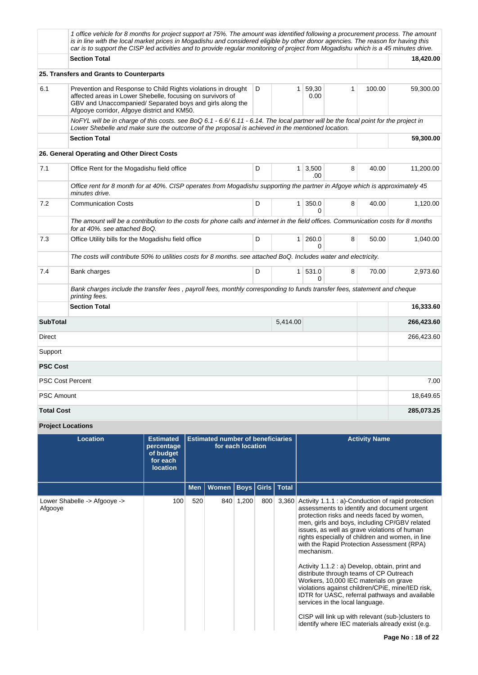|                   | 1 office vehicle for 8 months for project support at 75%. The amount was identified following a procurement process. The amount<br>is in line with the local market prices in Mogadishu and considered eligible by other donor agencies. The reason for having this<br>car is to support the CISP led activities and to provide regular monitoring of project from Mogadishu which is a 45 minutes drive. |              |                |                        |   |       |            |
|-------------------|-----------------------------------------------------------------------------------------------------------------------------------------------------------------------------------------------------------------------------------------------------------------------------------------------------------------------------------------------------------------------------------------------------------|--------------|----------------|------------------------|---|-------|------------|
|                   | <b>Section Total</b>                                                                                                                                                                                                                                                                                                                                                                                      |              |                |                        |   |       | 18,420.00  |
|                   | 25. Transfers and Grants to Counterparts                                                                                                                                                                                                                                                                                                                                                                  |              |                |                        |   |       |            |
| 6.1               | Prevention and Response to Child Rights violations in drought<br>affected areas in Lower Shebelle, focusing on survivors of<br>GBV and Unaccompanied/Separated boys and girls along the<br>Afgooye corridor, Afgoye district and KM50.                                                                                                                                                                    | $\mathbf{1}$ | 100.00         | 59,300.00              |   |       |            |
|                   | NoFYL will be in charge of this costs. see BoQ 6.1 - 6.6/ 6.11 - 6.14. The local partner will be the focal point for the project in<br>Lower Shebelle and make sure the outcome of the proposal is achieved in the mentioned location.                                                                                                                                                                    |              |                |                        |   |       |            |
|                   | <b>Section Total</b>                                                                                                                                                                                                                                                                                                                                                                                      |              |                |                        |   |       | 59,300.00  |
|                   | 26. General Operating and Other Direct Costs                                                                                                                                                                                                                                                                                                                                                              |              |                |                        |   |       |            |
| 7.1               | Office Rent for the Mogadishu field office                                                                                                                                                                                                                                                                                                                                                                | D            |                | $1 \mid 3,500$<br>.00  | 8 | 40.00 | 11,200.00  |
|                   | Office rent for 8 month for at 40%. CISP operates from Mogadishu supporting the partner in Afgoye which is approximately 45<br>minutes drive.                                                                                                                                                                                                                                                             |              |                |                        |   |       |            |
| 7.2               | <b>Communication Costs</b>                                                                                                                                                                                                                                                                                                                                                                                | D            |                | $1 \,   \, 350.0$<br>0 | 8 | 40.00 | 1,120.00   |
|                   | The amount will be a contribution to the costs for phone calls and internet in the field offices. Communication costs for 8 months<br>for at 40%. see attached BoQ.                                                                                                                                                                                                                                       |              |                |                        |   |       |            |
| 7.3               | Office Utility bills for the Mogadishu field office                                                                                                                                                                                                                                                                                                                                                       | D            | 1 <sup>1</sup> | 260.0<br>$\Omega$      | 8 | 50.00 | 1,040.00   |
|                   | The costs will contribute 50% to utilities costs for 8 months. see attached BoQ. Includes water and electricity.                                                                                                                                                                                                                                                                                          |              |                |                        |   |       |            |
| 7.4               | Bank charges                                                                                                                                                                                                                                                                                                                                                                                              | D            |                | 1 531.0<br>$\Omega$    | 8 | 70.00 | 2,973.60   |
|                   | Bank charges include the transfer fees, payroll fees, monthly corresponding to funds transfer fees, statement and cheque<br>printing fees.                                                                                                                                                                                                                                                                |              |                |                        |   |       |            |
|                   | <b>Section Total</b>                                                                                                                                                                                                                                                                                                                                                                                      |              |                |                        |   |       | 16,333.60  |
| <b>SubTotal</b>   |                                                                                                                                                                                                                                                                                                                                                                                                           |              | 5,414.00       |                        |   |       | 266,423.60 |
| Direct            |                                                                                                                                                                                                                                                                                                                                                                                                           |              |                |                        |   |       | 266,423.60 |
| Support           |                                                                                                                                                                                                                                                                                                                                                                                                           |              |                |                        |   |       |            |
| <b>PSC Cost</b>   |                                                                                                                                                                                                                                                                                                                                                                                                           |              |                |                        |   |       |            |
|                   | <b>PSC Cost Percent</b>                                                                                                                                                                                                                                                                                                                                                                                   |              |                |                        |   |       | 7.00       |
| <b>PSC Amount</b> |                                                                                                                                                                                                                                                                                                                                                                                                           |              |                |                        |   |       | 18,649.65  |
| <b>Total Cost</b> |                                                                                                                                                                                                                                                                                                                                                                                                           |              |                |                        |   |       | 285,073.25 |

# **Project Locations**

| <b>Location</b>                         | <b>Estimated</b><br>percentage<br>of budget<br>for each<br><b>location</b> | <b>Estimated number of beneficiaries</b><br>for each location |       |             |       |              | <b>Activity Name</b>                                                                                                                                                                                                                                                                                                                                                                                                                                                                                                                                                                                                                                                                                                                                      |
|-----------------------------------------|----------------------------------------------------------------------------|---------------------------------------------------------------|-------|-------------|-------|--------------|-----------------------------------------------------------------------------------------------------------------------------------------------------------------------------------------------------------------------------------------------------------------------------------------------------------------------------------------------------------------------------------------------------------------------------------------------------------------------------------------------------------------------------------------------------------------------------------------------------------------------------------------------------------------------------------------------------------------------------------------------------------|
|                                         |                                                                            | <b>Men</b>                                                    | Women | <b>Boys</b> | Girls | <b>Total</b> |                                                                                                                                                                                                                                                                                                                                                                                                                                                                                                                                                                                                                                                                                                                                                           |
| Lower Shabelle -> Afgooye -><br>Afgooye | 100                                                                        | 520                                                           | 840   | 1,200       | 800   | 3,360        | Activity 1.1.1 : a)-Conduction of rapid protection<br>assessments to identify and document urgent<br>protection risks and needs faced by women,<br>men, girls and boys, including CP/GBV related<br>issues, as well as grave violations of human<br>rights especially of children and women, in line<br>with the Rapid Protection Assessment (RPA)<br>mechanism.<br>Activity 1.1.2 : a) Develop, obtain, print and<br>distribute through teams of CP Outreach<br>Workers, 10,000 IEC materials on grave<br>violations against children/CPiE, mine/IED risk,<br>IDTR for UASC, referral pathways and available<br>services in the local language.<br>CISP will link up with relevant (sub-)clusters to<br>identify where IEC materials already exist (e.g. |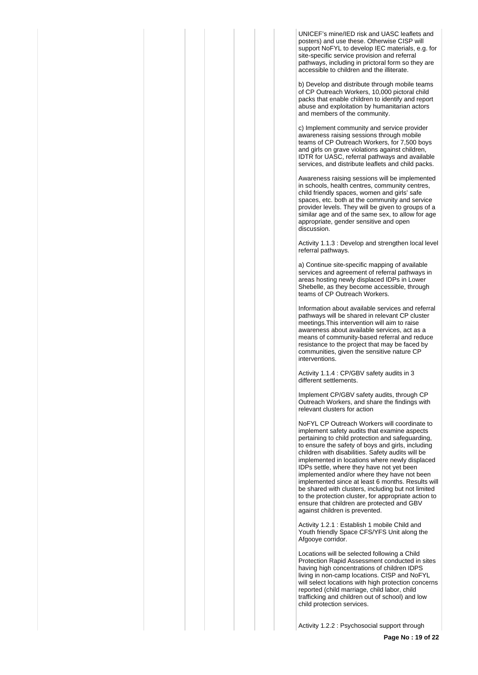UNICEF's mine/IED risk and UASC leaflets and posters) and use these. Otherwise CISP will support NoFYL to develop IEC materials, e.g. for site-specific service provision and referral pathways, including in prictoral form so they are accessible to children and the illiterate.

b) Develop and distribute through mobile teams of CP Outreach Workers, 10,000 pictoral child packs that enable children to identify and report abuse and exploitation by humanitarian actors and members of the community.

c) Implement community and service provider awareness raising sessions through mobile teams of CP Outreach Workers, for 7,500 boys and girls on grave violations against children, IDTR for UASC, referral pathways and available services, and distribute leaflets and child packs.

Awareness raising sessions will be implemented in schools, health centres, community centres, child friendly spaces, women and girls' safe spaces, etc. both at the community and service provider levels. They will be given to groups of a similar age and of the same sex, to allow for age appropriate, gender sensitive and open discussion.

Activity 1.1.3 : Develop and strengthen local level referral pathways.

a) Continue site-specific mapping of available services and agreement of referral pathways in areas hosting newly displaced IDPs in Lower Shebelle, as they become accessible, through teams of CP Outreach Workers.

Information about available services and referral pathways will be shared in relevant CP cluster meetings.This intervention will aim to raise awareness about available services, act as a means of community-based referral and reduce resistance to the project that may be faced by communities, given the sensitive nature CP interventions.

Activity 1.1.4 : CP/GBV safety audits in 3 different settlements.

Implement CP/GBV safety audits, through CP Outreach Workers, and share the findings with relevant clusters for action

NoFYL CP Outreach Workers will coordinate to implement safety audits that examine aspects pertaining to child protection and safeguarding, to ensure the safety of boys and girls, including children with disabilities. Safety audits will be implemented in locations where newly displaced IDPs settle, where they have not yet been implemented and/or where they have not been implemented since at least 6 months. Results will be shared with clusters, including but not limited to the protection cluster, for appropriate action to ensure that children are protected and GBV against children is prevented.

Activity 1.2.1 : Establish 1 mobile Child and Youth friendly Space CFS/YFS Unit along the Afgooye corridor.

Locations will be selected following a Child Protection Rapid Assessment conducted in sites having high concentrations of children IDPS living in non-camp locations. CISP and NoFYL will select locations with high protection concerns reported (child marriage, child labor, child trafficking and children out of school) and low child protection services.

Activity 1.2.2 : Psychosocial support through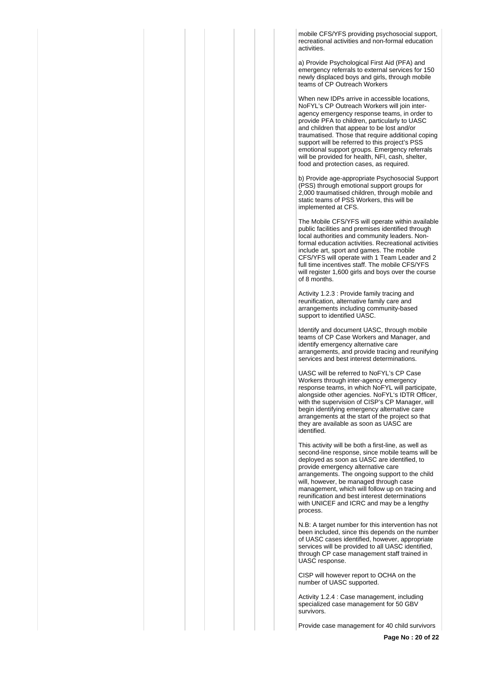mobile CFS/YFS providing psychosocial support, recreational activities and non-formal education activities.

a) Provide Psychological First Aid (PFA) and emergency referrals to external services for 150 newly displaced boys and girls, through mobile teams of CP Outreach Workers

When new IDPs arrive in accessible locations, NoFYL's CP Outreach Workers will join interagency emergency response teams, in order to provide PFA to children, particularly to UASC and children that appear to be lost and/or traumatised. Those that require additional coping support will be referred to this project's PSS emotional support groups. Emergency referrals will be provided for health, NFI, cash, shelter, food and protection cases, as required.

b) Provide age-appropriate Psychosocial Support (PSS) through emotional support groups for 2,000 traumatised children, through mobile and static teams of PSS Workers, this will be implemented at CFS.

The Mobile CFS/YFS will operate within available public facilities and premises identified through local authorities and community leaders. Nonformal education activities. Recreational activities include art, sport and games. The mobile CFS/YFS will operate with 1 Team Leader and 2 full time incentives staff. The mobile CFS/YFS will register 1,600 girls and boys over the course of 8 months.

Activity 1.2.3 : Provide family tracing and reunification, alternative family care and arrangements including community-based support to identified UASC.

Identify and document UASC, through mobile teams of CP Case Workers and Manager, and identify emergency alternative care arrangements, and provide tracing and reunifying services and best interest determinations.

UASC will be referred to NoFYL's CP Case Workers through inter-agency emergency response teams, in which NoFYL will participate, alongside other agencies. NoFYL's IDTR Officer, with the supervision of CISP's CP Manager, will begin identifying emergency alternative care arrangements at the start of the project so that they are available as soon as UASC are identified.

This activity will be both a first-line, as well as second-line response, since mobile teams will be deployed as soon as UASC are identified, to provide emergency alternative care arrangements. The ongoing support to the child will, however, be managed through case management, which will follow up on tracing and reunification and best interest determinations with UNICEF and ICRC and may be a lengthy process.

N.B: A target number for this intervention has not been included, since this depends on the number of UASC cases identified, however, appropriate services will be provided to all UASC identified, through CP case management staff trained in UASC response.

CISP will however report to OCHA on the number of UASC supported.

Activity 1.2.4 : Case management, including specialized case management for 50 GBV survivors.

Provide case management for 40 child survivors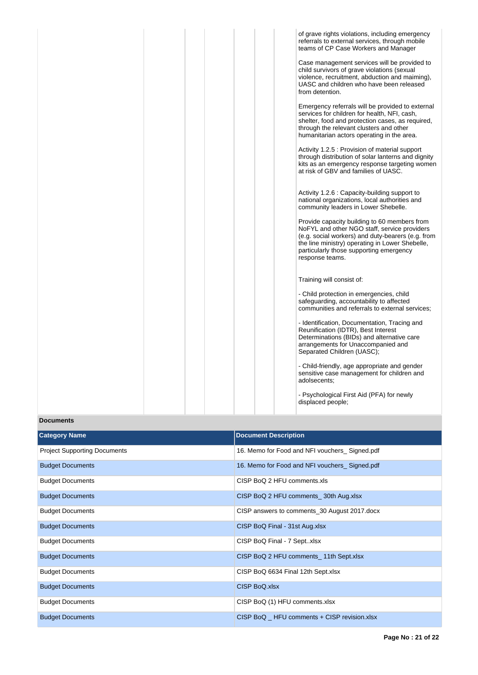|  |  |  | of grave rights violations, including emergency<br>referrals to external services, through mobile<br>teams of CP Case Workers and Manager                                                                                                                          |
|--|--|--|--------------------------------------------------------------------------------------------------------------------------------------------------------------------------------------------------------------------------------------------------------------------|
|  |  |  | Case management services will be provided to<br>child survivors of grave violations (sexual<br>violence, recruitment, abduction and maiming),<br>UASC and children who have been released<br>from detention.                                                       |
|  |  |  | Emergency referrals will be provided to external<br>services for children for health, NFI, cash,<br>shelter, food and protection cases, as required,<br>through the relevant clusters and other<br>humanitarian actors operating in the area.                      |
|  |  |  | Activity 1.2.5 : Provision of material support<br>through distribution of solar lanterns and dignity<br>kits as an emergency response targeting women<br>at risk of GBV and families of UASC.                                                                      |
|  |  |  | Activity 1.2.6 : Capacity-building support to<br>national organizations, local authorities and<br>community leaders in Lower Shebelle.                                                                                                                             |
|  |  |  | Provide capacity building to 60 members from<br>NoFYL and other NGO staff, service providers<br>(e.g. social workers) and duty-bearers (e.g. from<br>the line ministry) operating in Lower Shebelle,<br>particularly those supporting emergency<br>response teams. |
|  |  |  | Training will consist of:                                                                                                                                                                                                                                          |
|  |  |  | - Child protection in emergencies, child<br>safeguarding, accountability to affected<br>communities and referrals to external services;                                                                                                                            |
|  |  |  | - Identification, Documentation, Tracing and<br>Reunification (IDTR), Best Interest<br>Determinations (BIDs) and alternative care<br>arrangements for Unaccompanied and<br>Separated Children (UASC);                                                              |
|  |  |  | - Child-friendly, age appropriate and gender<br>sensitive case management for children and<br>adolsecents;                                                                                                                                                         |
|  |  |  | - Psychological First Aid (PFA) for newly<br>displaced people;                                                                                                                                                                                                     |

# **Documents**

| <b>Category Name</b>                | <b>Document Description</b>                   |
|-------------------------------------|-----------------------------------------------|
| <b>Project Supporting Documents</b> | 16. Memo for Food and NFI vouchers_Signed.pdf |
| <b>Budget Documents</b>             | 16. Memo for Food and NFI vouchers_Signed.pdf |
| <b>Budget Documents</b>             | CISP BoQ 2 HFU comments.xls                   |
| <b>Budget Documents</b>             | CISP BoQ 2 HFU comments 30th Aug.xlsx         |
| <b>Budget Documents</b>             | CISP answers to comments_30 August 2017.docx  |
| <b>Budget Documents</b>             | CISP BoQ Final - 31st Aug.xlsx                |
| <b>Budget Documents</b>             | CISP BoQ Final - 7 Septxlsx                   |
| <b>Budget Documents</b>             | CISP BoQ 2 HFU comments _ 11th Sept.xlsx      |
| <b>Budget Documents</b>             | CISP BoQ 6634 Final 12th Sept.xlsx            |
| <b>Budget Documents</b>             | CISP BoQ.xlsx                                 |
| <b>Budget Documents</b>             | CISP BoQ (1) HFU comments.xlsx                |
| <b>Budget Documents</b>             | CISP BoQ _ HFU comments + CISP revision.xlsx  |